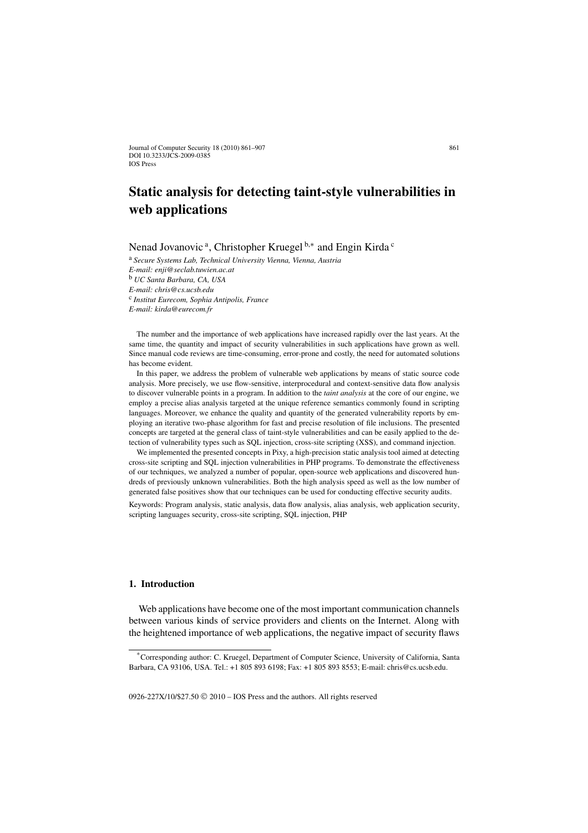Journal of Computer Security 18 (2010) 861–907 861 DOI 10.3233/JCS-2009-0385 IOS Press

# **Static analysis for detecting taint-style vulnerabilities in web applications**

Nenad Jovanovic<sup>a</sup>, Christopher Kruegel<sup>b,\*</sup> and Engin Kirda<sup>c</sup>

<sup>a</sup> *Secure Systems Lab, Technical University Vienna, Vienna, Austria E-mail: enji@seclab.tuwien.ac.at* <sup>b</sup> *UC Santa Barbara, CA, USA E-mail: chris@cs.ucsb.edu* <sup>c</sup> *Institut Eurecom, Sophia Antipolis, France E-mail: kirda@eurecom.fr*

The number and the importance of web applications have increased rapidly over the last years. At the same time, the quantity and impact of security vulnerabilities in such applications have grown as well. Since manual code reviews are time-consuming, error-prone and costly, the need for automated solutions has become evident.

In this paper, we address the problem of vulnerable web applications by means of static source code analysis. More precisely, we use flow-sensitive, interprocedural and context-sensitive data flow analysis to discover vulnerable points in a program. In addition to the *taint analysis* at the core of our engine, we employ a precise alias analysis targeted at the unique reference semantics commonly found in scripting languages. Moreover, we enhance the quality and quantity of the generated vulnerability reports by employing an iterative two-phase algorithm for fast and precise resolution of file inclusions. The presented concepts are targeted at the general class of taint-style vulnerabilities and can be easily applied to the detection of vulnerability types such as SQL injection, cross-site scripting (XSS), and command injection.

We implemented the presented concepts in Pixy, a high-precision static analysis tool aimed at detecting cross-site scripting and SQL injection vulnerabilities in PHP programs. To demonstrate the effectiveness of our techniques, we analyzed a number of popular, open-source web applications and discovered hundreds of previously unknown vulnerabilities. Both the high analysis speed as well as the low number of generated false positives show that our techniques can be used for conducting effective security audits.

Keywords: Program analysis, static analysis, data flow analysis, alias analysis, web application security, scripting languages security, cross-site scripting, SQL injection, PHP

# **1. Introduction**

Web applications have become one of the most important communication channels between various kinds of service providers and clients on the Internet. Along with the heightened importance of web applications, the negative impact of security flaws

<sup>\*</sup>Corresponding author: C. Kruegel, Department of Computer Science, University of California, Santa Barbara, CA 93106, USA. Tel.: +1 805 893 6198; Fax: +1 805 893 8553; E-mail: chris@cs.ucsb.edu.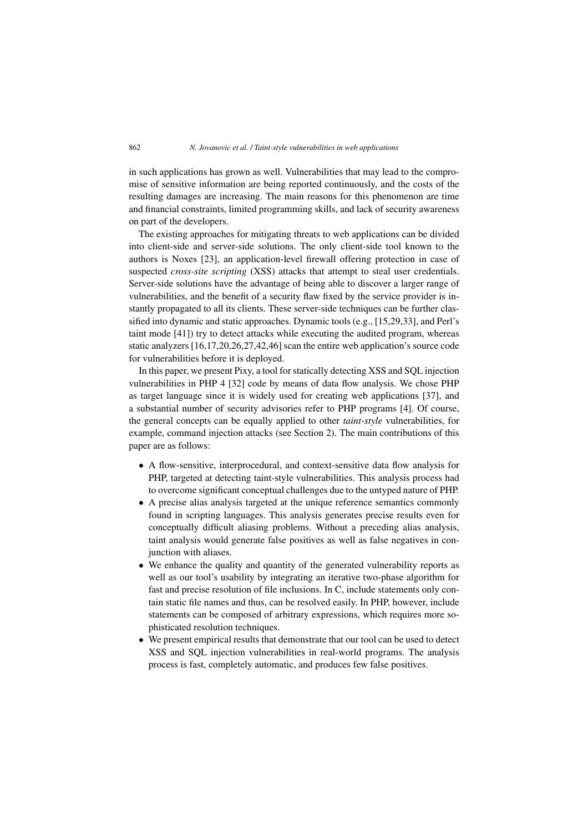in such applications has grown as well. Vulnerabilities that may lead to the compromise of sensitive information are being reported continuously, and the costs of the resulting damages are increasing. The main reasons for this phenomenon are time and financial constraints, limited programming skills, and lack of security awareness on part of the developers.

The existing approaches for mitigating threats to web applications can be divided into client-side and server-side solutions. The only client-side tool known to the authors is Noxes [23], an application-level firewall offering protection in case of suspected *cross-site scripting* (XSS) attacks that attempt to steal user credentials. Server-side solutions have the advantage of being able to discover a larger range of vulnerabilities, and the benefit of a security flaw fixed by the service provider is instantly propagated to all its clients. These server-side techniques can be further classified into dynamic and static approaches. Dynamic tools (e.g., [15,29,33], and Perl's taint mode [41]) try to detect attacks while executing the audited program, whereas static analyzers [16,17,20,26,27,42,46] scan the entire web application's source code for vulnerabilities before it is deployed.

In this paper, we present Pixy, a tool for statically detecting XSS and SQL injection vulnerabilities in PHP 4 [32] code by means of data flow analysis. We chose PHP as target language since it is widely used for creating web applications [37], and a substantial number of security advisories refer to PHP programs [4]. Of course, the general concepts can be equally applied to other *taint-style* vulnerabilities, for example, command injection attacks (see Section 2). The main contributions of this paper are as follows:

- A flow-sensitive, interprocedural, and context-sensitive data flow analysis for PHP, targeted at detecting taint-style vulnerabilities. This analysis process had to overcome significant conceptual challenges due to the untyped nature of PHP.
- A precise alias analysis targeted at the unique reference semantics commonly found in scripting languages. This analysis generates precise results even for conceptually difficult aliasing problems. Without a preceding alias analysis, taint analysis would generate false positives as well as false negatives in conjunction with aliases.
- We enhance the quality and quantity of the generated vulnerability reports as well as our tool's usability by integrating an iterative two-phase algorithm for fast and precise resolution of file inclusions. In C, include statements only contain static file names and thus, can be resolved easily. In PHP, however, include statements can be composed of arbitrary expressions, which requires more sophisticated resolution techniques.
- We present empirical results that demonstrate that our tool can be used to detect XSS and SQL injection vulnerabilities in real-world programs. The analysis process is fast, completely automatic, and produces few false positives.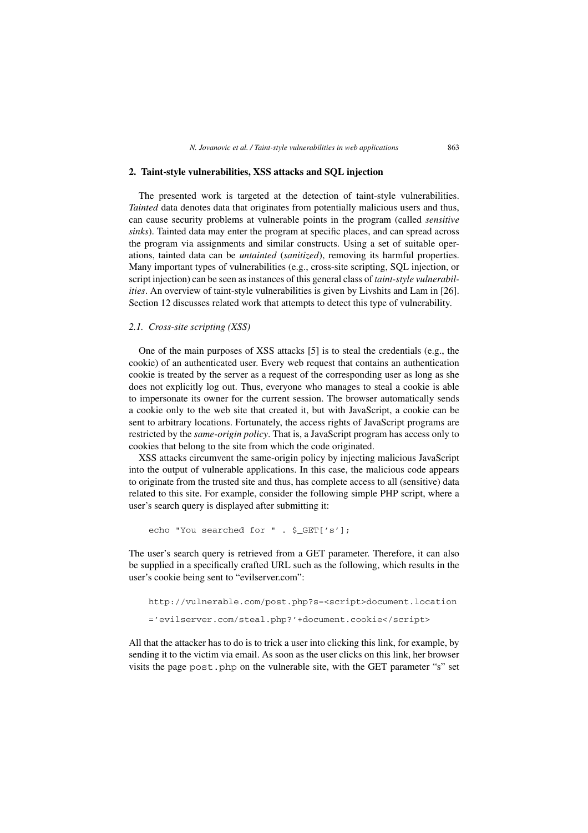#### **2. Taint-style vulnerabilities, XSS attacks and SQL injection**

The presented work is targeted at the detection of taint-style vulnerabilities. *Tainted* data denotes data that originates from potentially malicious users and thus, can cause security problems at vulnerable points in the program (called *sensitive sinks*). Tainted data may enter the program at specific places, and can spread across the program via assignments and similar constructs. Using a set of suitable operations, tainted data can be *untainted* (*sanitized*), removing its harmful properties. Many important types of vulnerabilities (e.g., cross-site scripting, SQL injection, or script injection) can be seen as instances of this general class of *taint-style vulnerabilities*. An overview of taint-style vulnerabilities is given by Livshits and Lam in [26]. Section 12 discusses related work that attempts to detect this type of vulnerability.

#### *2.1. Cross-site scripting (XSS)*

One of the main purposes of XSS attacks [5] is to steal the credentials (e.g., the cookie) of an authenticated user. Every web request that contains an authentication cookie is treated by the server as a request of the corresponding user as long as she does not explicitly log out. Thus, everyone who manages to steal a cookie is able to impersonate its owner for the current session. The browser automatically sends a cookie only to the web site that created it, but with JavaScript, a cookie can be sent to arbitrary locations. Fortunately, the access rights of JavaScript programs are restricted by the *same-origin policy*. That is, a JavaScript program has access only to cookies that belong to the site from which the code originated.

XSS attacks circumvent the same-origin policy by injecting malicious JavaScript into the output of vulnerable applications. In this case, the malicious code appears to originate from the trusted site and thus, has complete access to all (sensitive) data related to this site. For example, consider the following simple PHP script, where a user's search query is displayed after submitting it:

echo "You searched for " . \$\_GET['s'];

The user's search query is retrieved from a GET parameter. Therefore, it can also be supplied in a specifically crafted URL such as the following, which results in the user's cookie being sent to "evilserver.com":

http://vulnerable.com/post.php?s=<script>document.location ='evilserver.com/steal.php?'+document.cookie</script>

All that the attacker has to do is to trick a user into clicking this link, for example, by sending it to the victim via email. As soon as the user clicks on this link, her browser visits the page post.php on the vulnerable site, with the GET parameter "s" set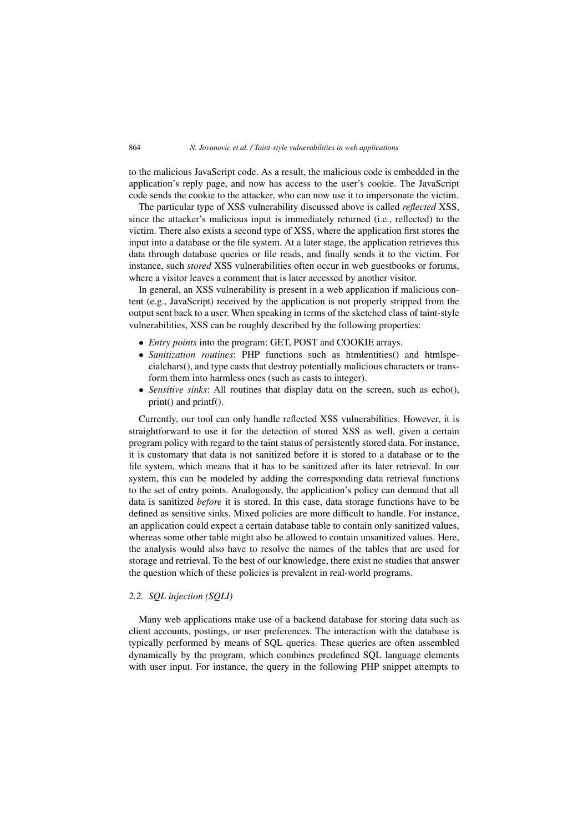to the malicious JavaScript code. As a result, the malicious code is embedded in the application's reply page, and now has access to the user's cookie. The JavaScript code sends the cookie to the attacker, who can now use it to impersonate the victim.

The particular type of XSS vulnerability discussed above is called *reflected* XSS, since the attacker's malicious input is immediately returned (i.e., reflected) to the victim. There also exists a second type of XSS, where the application first stores the input into a database or the file system. At a later stage, the application retrieves this data through database queries or file reads, and finally sends it to the victim. For instance, such *stored* XSS vulnerabilities often occur in web guestbooks or forums, where a visitor leaves a comment that is later accessed by another visitor.

In general, an XSS vulnerability is present in a web application if malicious content (e.g., JavaScript) received by the application is not properly stripped from the output sent back to a user. When speaking in terms of the sketched class of taint-style vulnerabilities, XSS can be roughly described by the following properties:

- *Entry points* into the program: GET, POST and COOKIE arrays.
- *Sanitization routines*: PHP functions such as htmlentities() and htmlspecialchars(), and type casts that destroy potentially malicious characters or transform them into harmless ones (such as casts to integer).
- *Sensitive sinks*: All routines that display data on the screen, such as echo(), print() and printf().

Currently, our tool can only handle reflected XSS vulnerabilities. However, it is straightforward to use it for the detection of stored XSS as well, given a certain program policy with regard to the taint status of persistently stored data. For instance, it is customary that data is not sanitized before it is stored to a database or to the file system, which means that it has to be sanitized after its later retrieval. In our system, this can be modeled by adding the corresponding data retrieval functions to the set of entry points. Analogously, the application's policy can demand that all data is sanitized *before* it is stored. In this case, data storage functions have to be defined as sensitive sinks. Mixed policies are more difficult to handle. For instance, an application could expect a certain database table to contain only sanitized values, whereas some other table might also be allowed to contain unsanitized values. Here, the analysis would also have to resolve the names of the tables that are used for storage and retrieval. To the best of our knowledge, there exist no studies that answer the question which of these policies is prevalent in real-world programs.

#### *2.2. SQL injection (SQLI)*

Many web applications make use of a backend database for storing data such as client accounts, postings, or user preferences. The interaction with the database is typically performed by means of SQL queries. These queries are often assembled dynamically by the program, which combines predefined SQL language elements with user input. For instance, the query in the following PHP snippet attempts to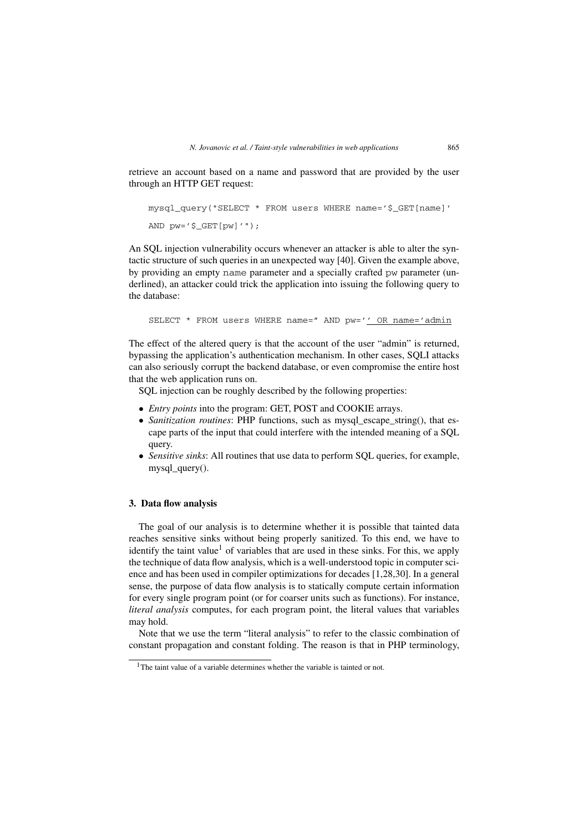retrieve an account based on a name and password that are provided by the user through an HTTP GET request:

```
mysql_query("SELECT * FROM users WHERE name='$_GET[name]'
AND pw='$_GET[pw]'");
```
An SQL injection vulnerability occurs whenever an attacker is able to alter the syntactic structure of such queries in an unexpected way [40]. Given the example above, by providing an empty name parameter and a specially crafted pw parameter (underlined), an attacker could trick the application into issuing the following query to the database:

SELECT \* FROM users WHERE name=" AND pw='' OR name='admin

The effect of the altered query is that the account of the user "admin" is returned, bypassing the application's authentication mechanism. In other cases, SQLI attacks can also seriously corrupt the backend database, or even compromise the entire host that the web application runs on.

SQL injection can be roughly described by the following properties:

- *Entry points* into the program: GET, POST and COOKIE arrays.
- *Sanitization routines*: PHP functions, such as mysql\_escape\_string(), that escape parts of the input that could interfere with the intended meaning of a SQL query.
- *Sensitive sinks*: All routines that use data to perform SQL queries, for example, mysql\_query().

# **3. Data flow analysis**

The goal of our analysis is to determine whether it is possible that tainted data reaches sensitive sinks without being properly sanitized. To this end, we have to identify the taint value<sup>1</sup> of variables that are used in these sinks. For this, we apply the technique of data flow analysis, which is a well-understood topic in computer science and has been used in compiler optimizations for decades [1,28,30]. In a general sense, the purpose of data flow analysis is to statically compute certain information for every single program point (or for coarser units such as functions). For instance, *literal analysis* computes, for each program point, the literal values that variables may hold.

Note that we use the term "literal analysis" to refer to the classic combination of constant propagation and constant folding. The reason is that in PHP terminology,

<sup>&</sup>lt;sup>1</sup>The taint value of a variable determines whether the variable is tainted or not.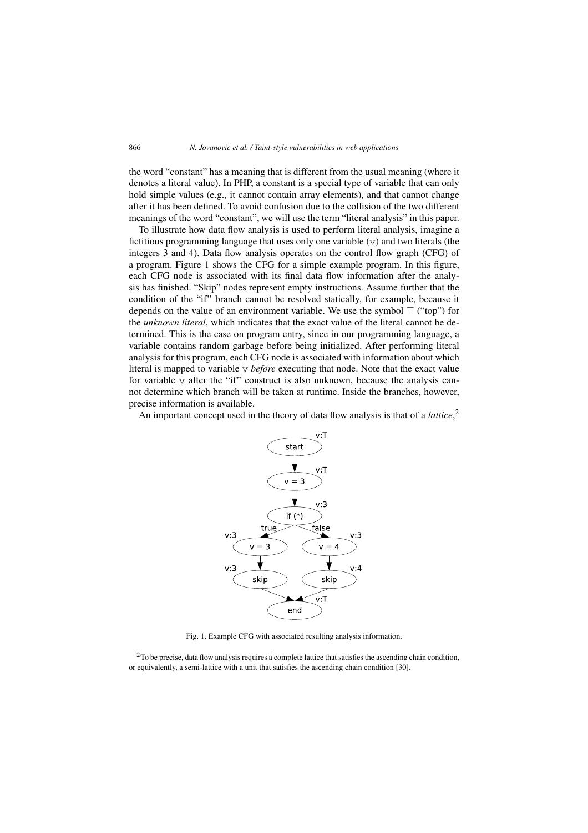the word "constant" has a meaning that is different from the usual meaning (where it denotes a literal value). In PHP, a constant is a special type of variable that can only hold simple values (e.g., it cannot contain array elements), and that cannot change after it has been defined. To avoid confusion due to the collision of the two different meanings of the word "constant", we will use the term "literal analysis" in this paper.

To illustrate how data flow analysis is used to perform literal analysis, imagine a fictitious programming language that uses only one variable  $(v)$  and two literals (the integers 3 and 4). Data flow analysis operates on the control flow graph (CFG) of a program. Figure 1 shows the CFG for a simple example program. In this figure, each CFG node is associated with its final data flow information after the analysis has finished. "Skip" nodes represent empty instructions. Assume further that the condition of the "if" branch cannot be resolved statically, for example, because it depends on the value of an environment variable. We use the symbol  $\top$  ("top") for the *unknown literal*, which indicates that the exact value of the literal cannot be determined. This is the case on program entry, since in our programming language, a variable contains random garbage before being initialized. After performing literal analysis for this program, each CFG node is associated with information about which literal is mapped to variable v *before* executing that node. Note that the exact value for variable  $\nu$  after the "if" construct is also unknown, because the analysis cannot determine which branch will be taken at runtime. Inside the branches, however, precise information is available.

An important concept used in the theory of data flow analysis is that of a *lattice*, 2



Fig. 1. Example CFG with associated resulting analysis information.

<sup>&</sup>lt;sup>2</sup>To be precise, data flow analysis requires a complete lattice that satisfies the ascending chain condition, or equivalently, a semi-lattice with a unit that satisfies the ascending chain condition [30].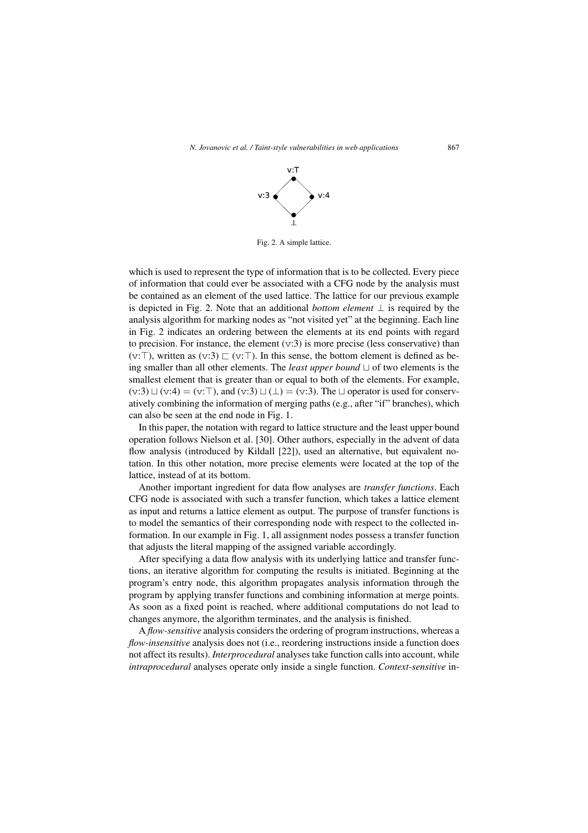

Fig. 2. A simple lattice.

which is used to represent the type of information that is to be collected. Every piece of information that could ever be associated with a CFG node by the analysis must be contained as an element of the used lattice. The lattice for our previous example is depicted in Fig. 2. Note that an additional *bottom element* ⊥ is required by the analysis algorithm for marking nodes as "not visited yet" at the beginning. Each line in Fig. 2 indicates an ordering between the elements at its end points with regard to precision. For instance, the element  $(v:3)$  is more precise (less conservative) than (v: T), written as (v: 3)  $\sqsubset$  (v: T). In this sense, the bottom element is defined as being smaller than all other elements. The *least upper bound*  $\sqcup$  of two elements is the smallest element that is greater than or equal to both of the elements. For example,  $(v:3) \sqcup (v:4) = (v:\top)$ , and  $(v:3) \sqcup (\bot) = (v:3)$ . The  $\sqcup$  operator is used for conservatively combining the information of merging paths (e.g., after "if" branches), which can also be seen at the end node in Fig. 1.

In this paper, the notation with regard to lattice structure and the least upper bound operation follows Nielson et al. [30]. Other authors, especially in the advent of data flow analysis (introduced by Kildall [22]), used an alternative, but equivalent notation. In this other notation, more precise elements were located at the top of the lattice, instead of at its bottom.

Another important ingredient for data flow analyses are *transfer functions*. Each CFG node is associated with such a transfer function, which takes a lattice element as input and returns a lattice element as output. The purpose of transfer functions is to model the semantics of their corresponding node with respect to the collected information. In our example in Fig. 1, all assignment nodes possess a transfer function that adjusts the literal mapping of the assigned variable accordingly.

After specifying a data flow analysis with its underlying lattice and transfer functions, an iterative algorithm for computing the results is initiated. Beginning at the program's entry node, this algorithm propagates analysis information through the program by applying transfer functions and combining information at merge points. As soon as a fixed point is reached, where additional computations do not lead to changes anymore, the algorithm terminates, and the analysis is finished.

A *flow-sensitive* analysis considers the ordering of program instructions, whereas a *flow-insensitive* analysis does not (i.e., reordering instructions inside a function does not affect its results). *Interprocedural* analyses take function calls into account, while *intraprocedural* analyses operate only inside a single function. *Context-sensitive* in-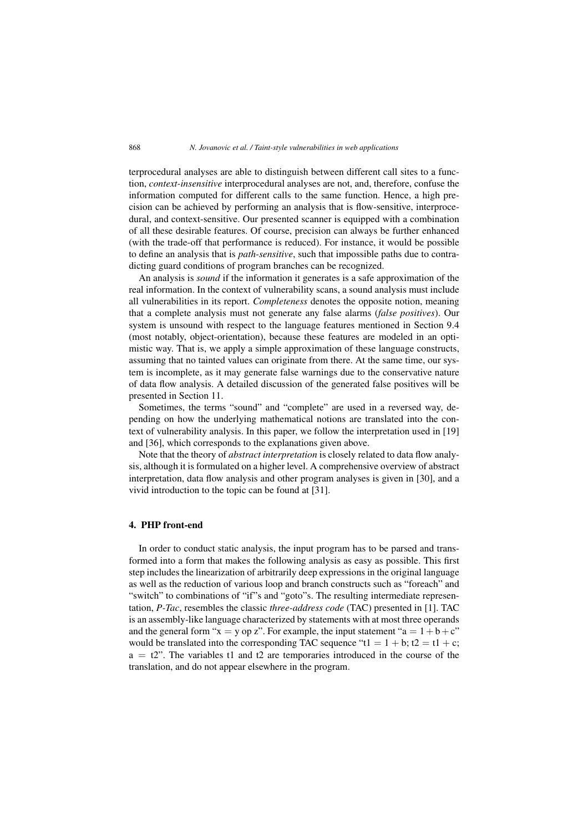terprocedural analyses are able to distinguish between different call sites to a function, *context-insensitive* interprocedural analyses are not, and, therefore, confuse the information computed for different calls to the same function. Hence, a high precision can be achieved by performing an analysis that is flow-sensitive, interprocedural, and context-sensitive. Our presented scanner is equipped with a combination of all these desirable features. Of course, precision can always be further enhanced (with the trade-off that performance is reduced). For instance, it would be possible to define an analysis that is *path-sensitive*, such that impossible paths due to contradicting guard conditions of program branches can be recognized.

An analysis is *sound* if the information it generates is a safe approximation of the real information. In the context of vulnerability scans, a sound analysis must include all vulnerabilities in its report. *Completeness* denotes the opposite notion, meaning that a complete analysis must not generate any false alarms (*false positives*). Our system is unsound with respect to the language features mentioned in Section 9.4 (most notably, object-orientation), because these features are modeled in an optimistic way. That is, we apply a simple approximation of these language constructs, assuming that no tainted values can originate from there. At the same time, our system is incomplete, as it may generate false warnings due to the conservative nature of data flow analysis. A detailed discussion of the generated false positives will be presented in Section 11.

Sometimes, the terms "sound" and "complete" are used in a reversed way, depending on how the underlying mathematical notions are translated into the context of vulnerability analysis. In this paper, we follow the interpretation used in [19] and [36], which corresponds to the explanations given above.

Note that the theory of *abstract interpretation* is closely related to data flow analysis, although it is formulated on a higher level. A comprehensive overview of abstract interpretation, data flow analysis and other program analyses is given in [30], and a vivid introduction to the topic can be found at [31].

# **4. PHP front-end**

In order to conduct static analysis, the input program has to be parsed and transformed into a form that makes the following analysis as easy as possible. This first step includes the linearization of arbitrarily deep expressions in the original language as well as the reduction of various loop and branch constructs such as "foreach" and "switch" to combinations of "if"s and "goto"s. The resulting intermediate representation, *P-Tac*, resembles the classic *three-address code* (TAC) presented in [1]. TAC is an assembly-like language characterized by statements with at most three operands and the general form " $x = y$  op z". For example, the input statement " $a = 1 + b + c$ " would be translated into the corresponding TAC sequence "t1 =  $1 + b$ ; t2 = t1 + c;  $a = t2$ ". The variables t1 and t2 are temporaries introduced in the course of the translation, and do not appear elsewhere in the program.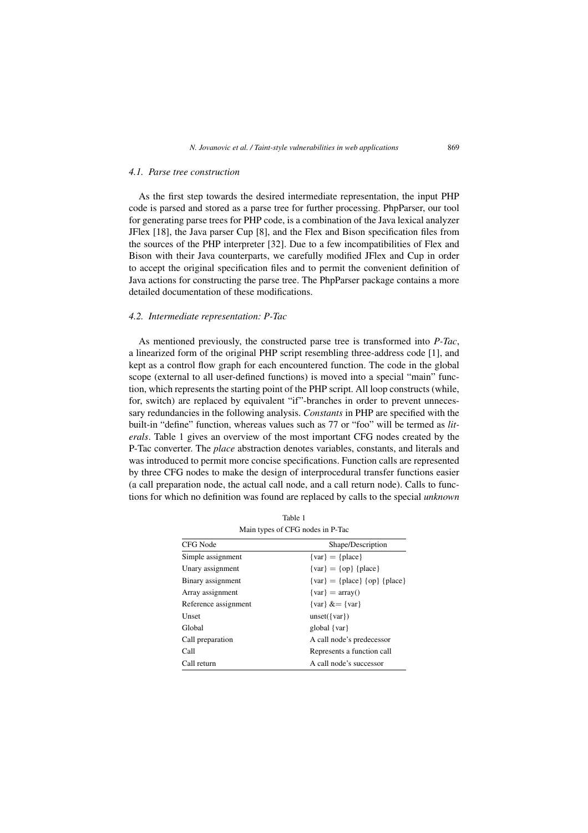#### *4.1. Parse tree construction*

As the first step towards the desired intermediate representation, the input PHP code is parsed and stored as a parse tree for further processing. PhpParser, our tool for generating parse trees for PHP code, is a combination of the Java lexical analyzer JFlex [18], the Java parser Cup [8], and the Flex and Bison specification files from the sources of the PHP interpreter [32]. Due to a few incompatibilities of Flex and Bison with their Java counterparts, we carefully modified JFlex and Cup in order to accept the original specification files and to permit the convenient definition of Java actions for constructing the parse tree. The PhpParser package contains a more detailed documentation of these modifications.

#### *4.2. Intermediate representation: P-Tac*

As mentioned previously, the constructed parse tree is transformed into *P-Tac*, a linearized form of the original PHP script resembling three-address code [1], and kept as a control flow graph for each encountered function. The code in the global scope (external to all user-defined functions) is moved into a special "main" function, which represents the starting point of the PHP script. All loop constructs (while, for, switch) are replaced by equivalent "if"-branches in order to prevent unnecessary redundancies in the following analysis. *Constants* in PHP are specified with the built-in "define" function, whereas values such as 77 or "foo" will be termed as *literals*. Table 1 gives an overview of the most important CFG nodes created by the P-Tac converter. The *place* abstraction denotes variables, constants, and literals and was introduced to permit more concise specifications. Function calls are represented by three CFG nodes to make the design of interprocedural transfer functions easier (a call preparation node, the actual call node, and a call return node). Calls to functions for which no definition was found are replaced by calls to the special *unknown*

| Table 1                          |
|----------------------------------|
| Main types of CFG nodes in P-Tac |

| CFG Node             | Shape/Description                      |
|----------------------|----------------------------------------|
| Simple assignment    | $\{var\} = \{place\}$                  |
| Unary assignment     | $\{var\} = \{op\} \{place\}$           |
| Binary assignment    | $\{var\} = \{place\} \{op\} \{place\}$ |
| Array assignment     | $\{var\} = \arctan(\theta)$            |
| Reference assignment | $\{var\} \& = \{var\}$                 |
| Unset                | $unset({var})$                         |
| Global               | $global \{ var\}$                      |
| Call preparation     | A call node's predecessor              |
| Call                 | Represents a function call             |
| Call return          | A call node's successor                |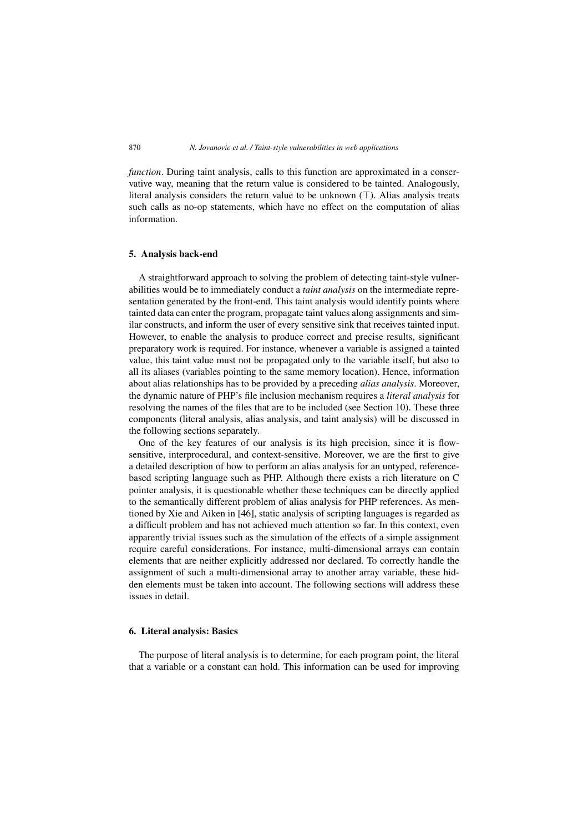*function*. During taint analysis, calls to this function are approximated in a conservative way, meaning that the return value is considered to be tainted. Analogously, literal analysis considers the return value to be unknown  $(T)$ . Alias analysis treats such calls as no-op statements, which have no effect on the computation of alias information.

## **5. Analysis back-end**

A straightforward approach to solving the problem of detecting taint-style vulnerabilities would be to immediately conduct a *taint analysis* on the intermediate representation generated by the front-end. This taint analysis would identify points where tainted data can enter the program, propagate taint values along assignments and similar constructs, and inform the user of every sensitive sink that receives tainted input. However, to enable the analysis to produce correct and precise results, significant preparatory work is required. For instance, whenever a variable is assigned a tainted value, this taint value must not be propagated only to the variable itself, but also to all its aliases (variables pointing to the same memory location). Hence, information about alias relationships has to be provided by a preceding *alias analysis*. Moreover, the dynamic nature of PHP's file inclusion mechanism requires a *literal analysis* for resolving the names of the files that are to be included (see Section 10). These three components (literal analysis, alias analysis, and taint analysis) will be discussed in the following sections separately.

One of the key features of our analysis is its high precision, since it is flowsensitive, interprocedural, and context-sensitive. Moreover, we are the first to give a detailed description of how to perform an alias analysis for an untyped, referencebased scripting language such as PHP. Although there exists a rich literature on C pointer analysis, it is questionable whether these techniques can be directly applied to the semantically different problem of alias analysis for PHP references. As mentioned by Xie and Aiken in [46], static analysis of scripting languages is regarded as a difficult problem and has not achieved much attention so far. In this context, even apparently trivial issues such as the simulation of the effects of a simple assignment require careful considerations. For instance, multi-dimensional arrays can contain elements that are neither explicitly addressed nor declared. To correctly handle the assignment of such a multi-dimensional array to another array variable, these hidden elements must be taken into account. The following sections will address these issues in detail.

#### **6. Literal analysis: Basics**

The purpose of literal analysis is to determine, for each program point, the literal that a variable or a constant can hold. This information can be used for improving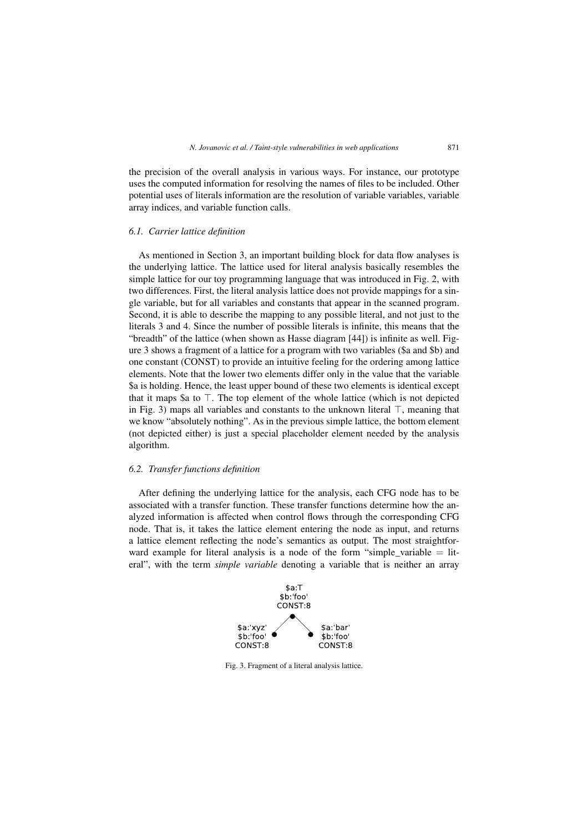the precision of the overall analysis in various ways. For instance, our prototype uses the computed information for resolving the names of files to be included. Other potential uses of literals information are the resolution of variable variables, variable array indices, and variable function calls.

#### *6.1. Carrier lattice definition*

As mentioned in Section 3, an important building block for data flow analyses is the underlying lattice. The lattice used for literal analysis basically resembles the simple lattice for our toy programming language that was introduced in Fig. 2, with two differences. First, the literal analysis lattice does not provide mappings for a single variable, but for all variables and constants that appear in the scanned program. Second, it is able to describe the mapping to any possible literal, and not just to the literals 3 and 4. Since the number of possible literals is infinite, this means that the "breadth" of the lattice (when shown as Hasse diagram [44]) is infinite as well. Figure 3 shows a fragment of a lattice for a program with two variables (\$a and \$b) and one constant (CONST) to provide an intuitive feeling for the ordering among lattice elements. Note that the lower two elements differ only in the value that the variable \$a is holding. Hence, the least upper bound of these two elements is identical except that it maps \$a to  $\top$ . The top element of the whole lattice (which is not depicted in Fig. 3) maps all variables and constants to the unknown literal  $\top$ , meaning that we know "absolutely nothing". As in the previous simple lattice, the bottom element (not depicted either) is just a special placeholder element needed by the analysis algorithm.

# *6.2. Transfer functions definition*

After defining the underlying lattice for the analysis, each CFG node has to be associated with a transfer function. These transfer functions determine how the analyzed information is affected when control flows through the corresponding CFG node. That is, it takes the lattice element entering the node as input, and returns a lattice element reflecting the node's semantics as output. The most straightforward example for literal analysis is a node of the form "simple variable  $=$  literal", with the term *simple variable* denoting a variable that is neither an array



Fig. 3. Fragment of a literal analysis lattice.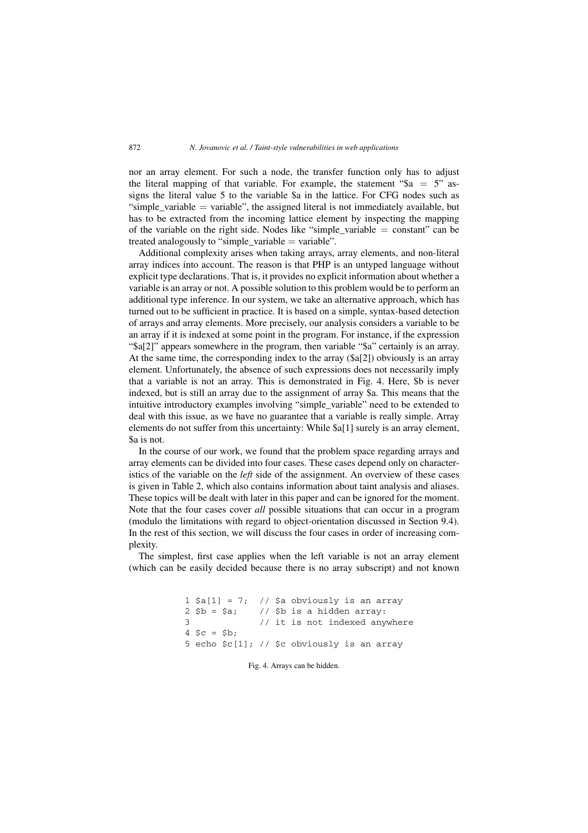nor an array element. For such a node, the transfer function only has to adjust the literal mapping of that variable. For example, the statement " $\alpha = 5$ " assigns the literal value 5 to the variable \$a in the lattice. For CFG nodes such as "simple\_variable = variable", the assigned literal is not immediately available, but has to be extracted from the incoming lattice element by inspecting the mapping of the variable on the right side. Nodes like "simple variable  $=$  constant" can be treated analogously to "simple\_variable  $=$  variable".

Additional complexity arises when taking arrays, array elements, and non-literal array indices into account. The reason is that PHP is an untyped language without explicit type declarations. That is, it provides no explicit information about whether a variable is an array or not. A possible solution to this problem would be to perform an additional type inference. In our system, we take an alternative approach, which has turned out to be sufficient in practice. It is based on a simple, syntax-based detection of arrays and array elements. More precisely, our analysis considers a variable to be an array if it is indexed at some point in the program. For instance, if the expression "\$a[2]" appears somewhere in the program, then variable "\$a" certainly is an array. At the same time, the corresponding index to the array (\$a[2]) obviously is an array element. Unfortunately, the absence of such expressions does not necessarily imply that a variable is not an array. This is demonstrated in Fig. 4. Here, \$b is never indexed, but is still an array due to the assignment of array \$a. This means that the intuitive introductory examples involving "simple\_variable" need to be extended to deal with this issue, as we have no guarantee that a variable is really simple. Array elements do not suffer from this uncertainty: While \$a[1] surely is an array element, \$a is not.

In the course of our work, we found that the problem space regarding arrays and array elements can be divided into four cases. These cases depend only on characteristics of the variable on the *left* side of the assignment. An overview of these cases is given in Table 2, which also contains information about taint analysis and aliases. These topics will be dealt with later in this paper and can be ignored for the moment. Note that the four cases cover *all* possible situations that can occur in a program (modulo the limitations with regard to object-orientation discussed in Section 9.4). In the rest of this section, we will discuss the four cases in order of increasing complexity.

The simplest, first case applies when the left variable is not an array element (which can be easily decided because there is no array subscript) and not known

> 1  $\frac{1}{2}$  (1) = 7; //  $\frac{2}{3}$  obviously is an array  $2$  \$b = \$a;  $1/$  \$b is a hidden array: 3 // it is not indexed anywhere  $4 \text{Sc} = \text{Sb}$ ; 5 echo \$c[1]; // \$c obviously is an array

> > Fig. 4. Arrays can be hidden.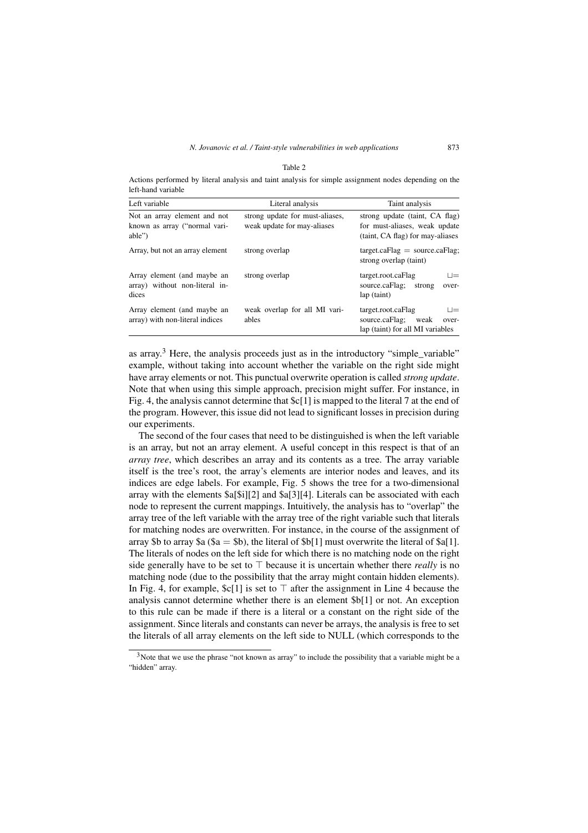|--|--|--|

Actions performed by literal analysis and taint analysis for simple assignment nodes depending on the left-hand variable

| Left variable                                                           | Literal analysis                                               | Taint analysis                                                                                      |  |
|-------------------------------------------------------------------------|----------------------------------------------------------------|-----------------------------------------------------------------------------------------------------|--|
| Not an array element and not<br>known as array ("normal vari-<br>able") | strong update for must-aliases,<br>weak update for may-aliases | strong update (taint, CA flag)<br>for must-aliases, weak update<br>(taint, CA flag) for may-aliases |  |
| Array, but not an array element                                         | strong overlap                                                 | $target.caFlag = source.caFlag;$<br>strong overlap (taint)                                          |  |
| Array element (and maybe an<br>array) without non-literal in-<br>dices  | strong overlap                                                 | target.root.caFlag<br>$\Box$<br>source.caFlag:<br>strong<br>over-<br>lap (taint)                    |  |
| Array element (and maybe an<br>array) with non-literal indices          | weak overlap for all MI vari-<br>ables                         | target.root.caFlag<br>$\Box$<br>source.caFlag; weak<br>over-<br>lap (taint) for all MI variables    |  |

as array.<sup>3</sup> Here, the analysis proceeds just as in the introductory "simple\_variable" example, without taking into account whether the variable on the right side might have array elements or not. This punctual overwrite operation is called *strong update*. Note that when using this simple approach, precision might suffer. For instance, in Fig. 4, the analysis cannot determine that \$c[1] is mapped to the literal 7 at the end of the program. However, this issue did not lead to significant losses in precision during our experiments.

The second of the four cases that need to be distinguished is when the left variable is an array, but not an array element. A useful concept in this respect is that of an *array tree*, which describes an array and its contents as a tree. The array variable itself is the tree's root, the array's elements are interior nodes and leaves, and its indices are edge labels. For example, Fig. 5 shows the tree for a two-dimensional array with the elements \$a[\$i][2] and \$a[3][4]. Literals can be associated with each node to represent the current mappings. Intuitively, the analysis has to "overlap" the array tree of the left variable with the array tree of the right variable such that literals for matching nodes are overwritten. For instance, in the course of the assignment of array \$b to array \$a (\$a = \$b), the literal of \$b[1] must overwrite the literal of \$a[1]. The literals of nodes on the left side for which there is no matching node on the right side generally have to be set to  $\top$  because it is uncertain whether there *really* is no matching node (due to the possibility that the array might contain hidden elements). In Fig. 4, for example,  $\mathcal{S}[\lceil \cdot \rceil]$  is set to  $\top$  after the assignment in Line 4 because the analysis cannot determine whether there is an element \$b[1] or not. An exception to this rule can be made if there is a literal or a constant on the right side of the assignment. Since literals and constants can never be arrays, the analysis is free to set the literals of all array elements on the left side to NULL (which corresponds to the

<sup>&</sup>lt;sup>3</sup>Note that we use the phrase "not known as array" to include the possibility that a variable might be a "hidden" array.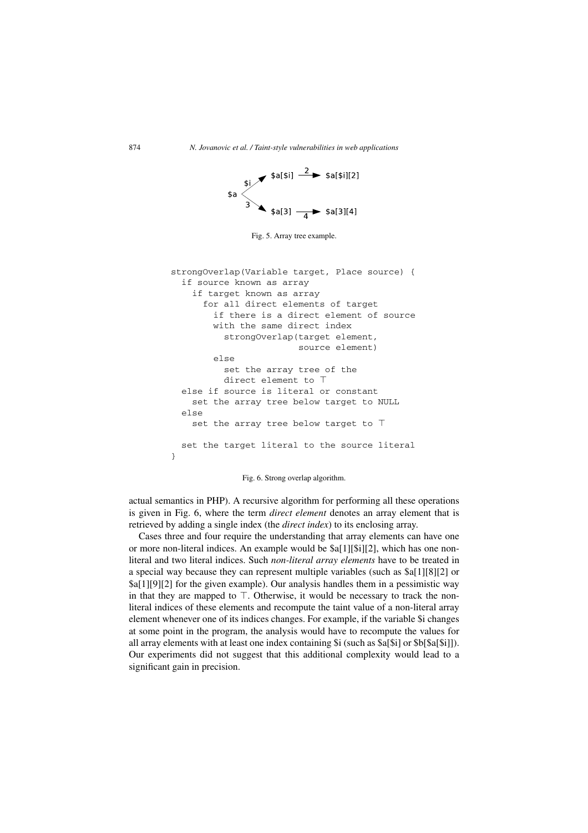

Fig. 5. Array tree example.

```
strongOverlap(Variable target, Place source) {
  if source known as array
    if target known as array
      for all direct elements of target
        if there is a direct element of source
        with the same direct index
          strongOverlap(target element,
                        source element)
        else
          set the array tree of the
          direct element to T
  else if source is literal or constant
    set the array tree below target to NULL
  else
    set the array tree below target to \topset the target literal to the source literal
}
```
Fig. 6. Strong overlap algorithm.

actual semantics in PHP). A recursive algorithm for performing all these operations is given in Fig. 6, where the term *direct element* denotes an array element that is retrieved by adding a single index (the *direct index*) to its enclosing array.

Cases three and four require the understanding that array elements can have one or more non-literal indices. An example would be \$a[1][\$i][2], which has one nonliteral and two literal indices. Such *non-literal array elements* have to be treated in a special way because they can represent multiple variables (such as \$a[1][8][2] or \$a[1][9][2] for the given example). Our analysis handles them in a pessimistic way in that they are mapped to  $\top$ . Otherwise, it would be necessary to track the nonliteral indices of these elements and recompute the taint value of a non-literal array element whenever one of its indices changes. For example, if the variable \$i changes at some point in the program, the analysis would have to recompute the values for all array elements with at least one index containing \$i (such as \$a[\$i] or \$b[\$a[\$i]]). Our experiments did not suggest that this additional complexity would lead to a significant gain in precision.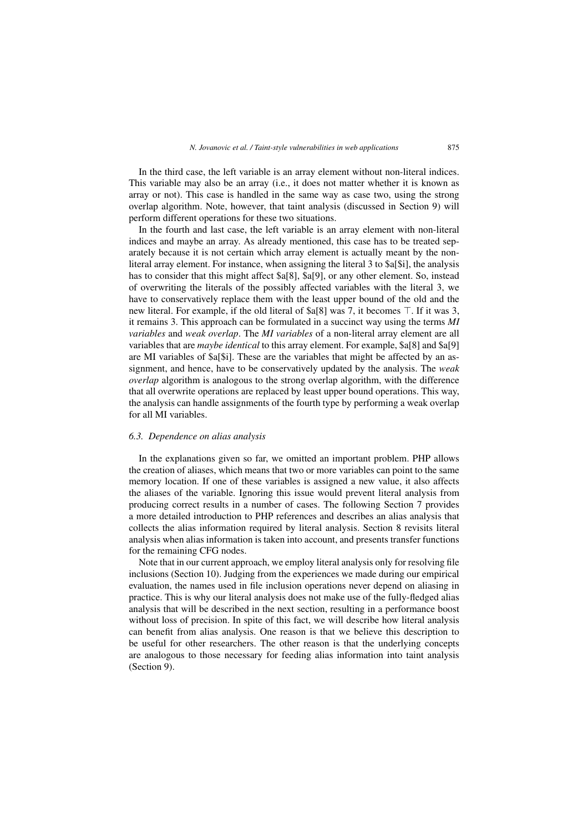In the third case, the left variable is an array element without non-literal indices. This variable may also be an array (i.e., it does not matter whether it is known as array or not). This case is handled in the same way as case two, using the strong overlap algorithm. Note, however, that taint analysis (discussed in Section 9) will perform different operations for these two situations.

In the fourth and last case, the left variable is an array element with non-literal indices and maybe an array. As already mentioned, this case has to be treated separately because it is not certain which array element is actually meant by the nonliteral array element. For instance, when assigning the literal 3 to \$a[\$i], the analysis has to consider that this might affect \$a[8], \$a[9], or any other element. So, instead of overwriting the literals of the possibly affected variables with the literal 3, we have to conservatively replace them with the least upper bound of the old and the new literal. For example, if the old literal of  $a[8]$  was 7, it becomes  $\top$ . If it was 3, it remains 3. This approach can be formulated in a succinct way using the terms *MI variables* and *weak overlap*. The *MI variables* of a non-literal array element are all variables that are *maybe identical* to this array element. For example, \$a[8] and \$a[9] are MI variables of \$a[\$i]. These are the variables that might be affected by an assignment, and hence, have to be conservatively updated by the analysis. The *weak overlap* algorithm is analogous to the strong overlap algorithm, with the difference that all overwrite operations are replaced by least upper bound operations. This way, the analysis can handle assignments of the fourth type by performing a weak overlap for all MI variables.

# *6.3. Dependence on alias analysis*

In the explanations given so far, we omitted an important problem. PHP allows the creation of aliases, which means that two or more variables can point to the same memory location. If one of these variables is assigned a new value, it also affects the aliases of the variable. Ignoring this issue would prevent literal analysis from producing correct results in a number of cases. The following Section 7 provides a more detailed introduction to PHP references and describes an alias analysis that collects the alias information required by literal analysis. Section 8 revisits literal analysis when alias information is taken into account, and presents transfer functions for the remaining CFG nodes.

Note that in our current approach, we employ literal analysis only for resolving file inclusions (Section 10). Judging from the experiences we made during our empirical evaluation, the names used in file inclusion operations never depend on aliasing in practice. This is why our literal analysis does not make use of the fully-fledged alias analysis that will be described in the next section, resulting in a performance boost without loss of precision. In spite of this fact, we will describe how literal analysis can benefit from alias analysis. One reason is that we believe this description to be useful for other researchers. The other reason is that the underlying concepts are analogous to those necessary for feeding alias information into taint analysis (Section 9).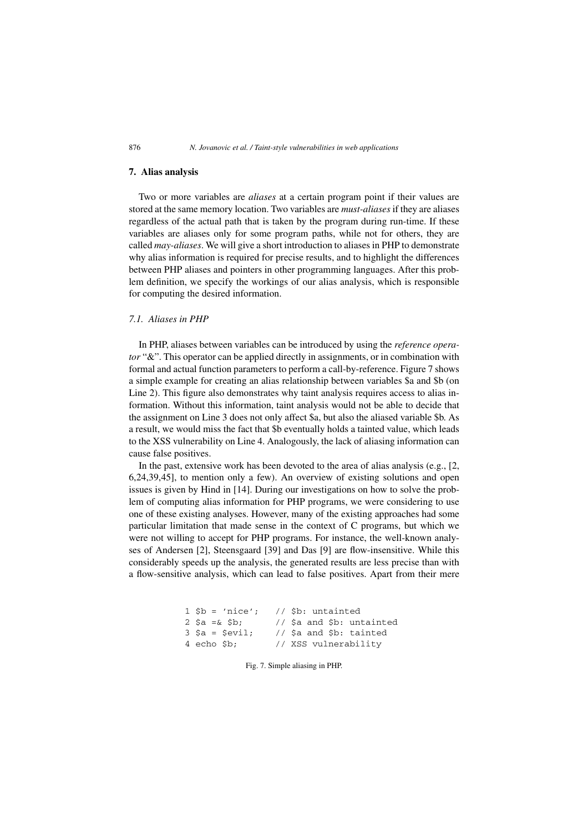#### **7. Alias analysis**

Two or more variables are *aliases* at a certain program point if their values are stored at the same memory location. Two variables are *must-aliases* if they are aliases regardless of the actual path that is taken by the program during run-time. If these variables are aliases only for some program paths, while not for others, they are called *may-aliases*. We will give a short introduction to aliases in PHP to demonstrate why alias information is required for precise results, and to highlight the differences between PHP aliases and pointers in other programming languages. After this problem definition, we specify the workings of our alias analysis, which is responsible for computing the desired information.

# *7.1. Aliases in PHP*

In PHP, aliases between variables can be introduced by using the *reference operator* "&". This operator can be applied directly in assignments, or in combination with formal and actual function parameters to perform a call-by-reference. Figure 7 shows a simple example for creating an alias relationship between variables \$a and \$b (on Line 2). This figure also demonstrates why taint analysis requires access to alias information. Without this information, taint analysis would not be able to decide that the assignment on Line 3 does not only affect \$a, but also the aliased variable \$b. As a result, we would miss the fact that \$b eventually holds a tainted value, which leads to the XSS vulnerability on Line 4. Analogously, the lack of aliasing information can cause false positives.

In the past, extensive work has been devoted to the area of alias analysis (e.g., [2, 6,24,39,45], to mention only a few). An overview of existing solutions and open issues is given by Hind in [14]. During our investigations on how to solve the problem of computing alias information for PHP programs, we were considering to use one of these existing analyses. However, many of the existing approaches had some particular limitation that made sense in the context of C programs, but which we were not willing to accept for PHP programs. For instance, the well-known analyses of Andersen [2], Steensgaard [39] and Das [9] are flow-insensitive. While this considerably speeds up the analysis, the generated results are less precise than with a flow-sensitive analysis, which can lead to false positives. Apart from their mere

| $1$ Sb = 'nice':  | // \$b: untainted         |
|-------------------|---------------------------|
|                   | // \$a and \$b: untainted |
| $3$ \$a = \$evil; | // \$a and \$b: tainted   |
| 4 echo \$b;       | // XSS vulnerability      |

Fig. 7. Simple aliasing in PHP.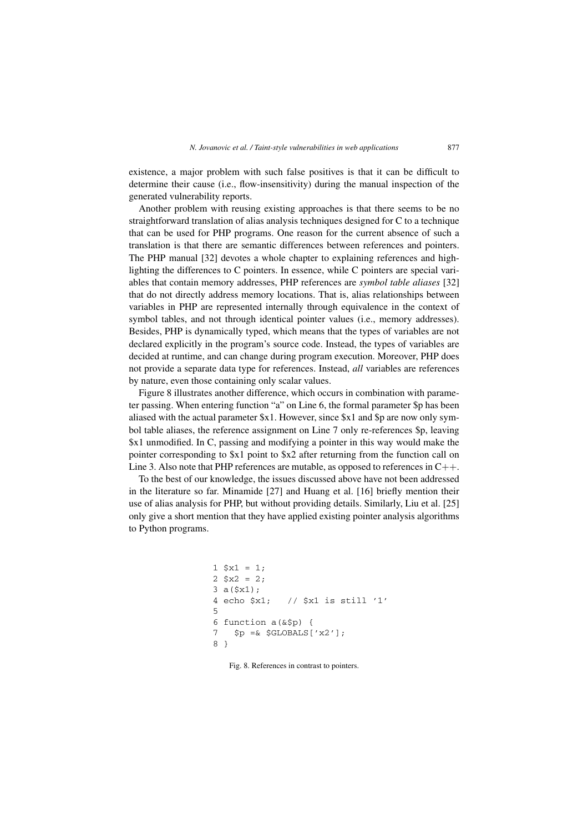existence, a major problem with such false positives is that it can be difficult to determine their cause (i.e., flow-insensitivity) during the manual inspection of the generated vulnerability reports.

Another problem with reusing existing approaches is that there seems to be no straightforward translation of alias analysis techniques designed for C to a technique that can be used for PHP programs. One reason for the current absence of such a translation is that there are semantic differences between references and pointers. The PHP manual [32] devotes a whole chapter to explaining references and highlighting the differences to C pointers. In essence, while C pointers are special variables that contain memory addresses, PHP references are *symbol table aliases* [32] that do not directly address memory locations. That is, alias relationships between variables in PHP are represented internally through equivalence in the context of symbol tables, and not through identical pointer values (i.e., memory addresses). Besides, PHP is dynamically typed, which means that the types of variables are not declared explicitly in the program's source code. Instead, the types of variables are decided at runtime, and can change during program execution. Moreover, PHP does not provide a separate data type for references. Instead, *all* variables are references by nature, even those containing only scalar values.

Figure 8 illustrates another difference, which occurs in combination with parameter passing. When entering function "a" on Line 6, the formal parameter \$p has been aliased with the actual parameter \$x1. However, since \$x1 and \$p are now only symbol table aliases, the reference assignment on Line 7 only re-references \$p, leaving \$x1 unmodified. In C, passing and modifying a pointer in this way would make the pointer corresponding to \$x1 point to \$x2 after returning from the function call on Line 3. Also note that PHP references are mutable, as opposed to references in  $C_{++}$ .

To the best of our knowledge, the issues discussed above have not been addressed in the literature so far. Minamide [27] and Huang et al. [16] briefly mention their use of alias analysis for PHP, but without providing details. Similarly, Liu et al. [25] only give a short mention that they have applied existing pointer analysis algorithms to Python programs.

```
1 \,$x1 = 1;
2 \, 5x2 = 2;
3 a($x1);
4 echo $x1; // $x1 is still '1'
5
6 function a(\&$p) {
7 $p =& $GLOBALS['x2'];
8 }
```
Fig. 8. References in contrast to pointers.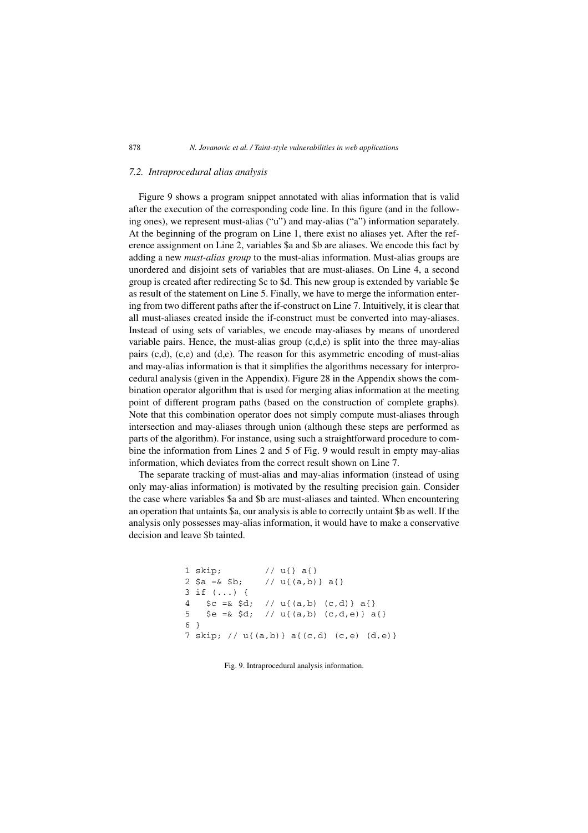#### *7.2. Intraprocedural alias analysis*

Figure 9 shows a program snippet annotated with alias information that is valid after the execution of the corresponding code line. In this figure (and in the following ones), we represent must-alias ("u") and may-alias ("a") information separately. At the beginning of the program on Line 1, there exist no aliases yet. After the reference assignment on Line 2, variables \$a and \$b are aliases. We encode this fact by adding a new *must-alias group* to the must-alias information. Must-alias groups are unordered and disjoint sets of variables that are must-aliases. On Line 4, a second group is created after redirecting \$c to \$d. This new group is extended by variable \$e as result of the statement on Line 5. Finally, we have to merge the information entering from two different paths after the if-construct on Line 7. Intuitively, it is clear that all must-aliases created inside the if-construct must be converted into may-aliases. Instead of using sets of variables, we encode may-aliases by means of unordered variable pairs. Hence, the must-alias group (c,d,e) is split into the three may-alias pairs (c,d), (c,e) and (d,e). The reason for this asymmetric encoding of must-alias and may-alias information is that it simplifies the algorithms necessary for interprocedural analysis (given in the Appendix). Figure 28 in the Appendix shows the combination operator algorithm that is used for merging alias information at the meeting point of different program paths (based on the construction of complete graphs). Note that this combination operator does not simply compute must-aliases through intersection and may-aliases through union (although these steps are performed as parts of the algorithm). For instance, using such a straightforward procedure to combine the information from Lines 2 and 5 of Fig. 9 would result in empty may-alias information, which deviates from the correct result shown on Line 7.

The separate tracking of must-alias and may-alias information (instead of using only may-alias information) is motivated by the resulting precision gain. Consider the case where variables \$a and \$b are must-aliases and tainted. When encountering an operation that untaints \$a, our analysis is able to correctly untaint \$b as well. If the analysis only possesses may-alias information, it would have to make a conservative decision and leave \$b tainted.

```
1 skip; // u{} a{}
2 \alpha = \delta \beta; // u{(a,b)} a{}
3 if (...) {
\frac{4}{5c} \frac{5}{6} \frac{5d}{7} // \frac{u}{a} (a, b) (c, d) } a{}
5 \leq \leq \leq \leq \leq \leq \leq \leq \leq \leq \leq \leq \leq \leq \leq \leq \leq \leq \leq \leq \leq \leq \leq \leq \leq \leq \leq \leq \leq \leq \leq \leq \leq \leq \leq \leq \le6 }
7 skip; // u{(a,b)} a{(c,d) (c,e) (d,e)}
```
Fig. 9. Intraprocedural analysis information.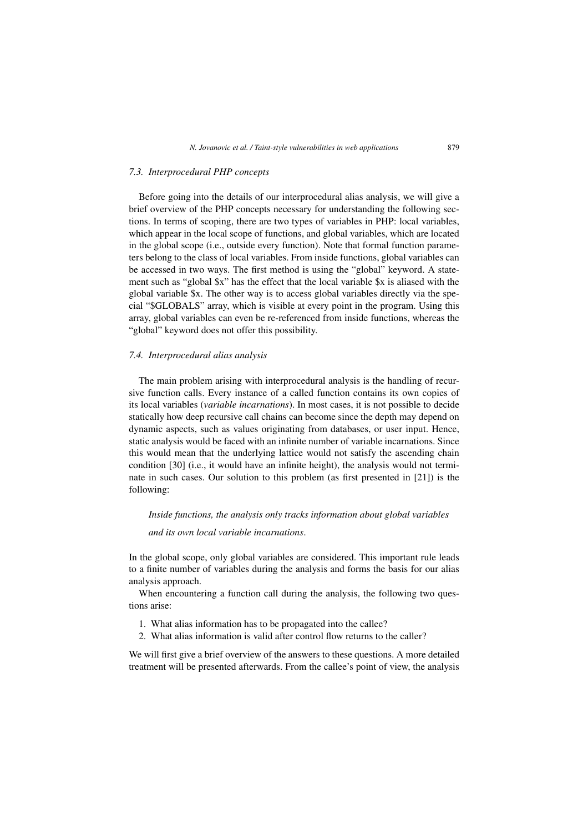#### *7.3. Interprocedural PHP concepts*

Before going into the details of our interprocedural alias analysis, we will give a brief overview of the PHP concepts necessary for understanding the following sections. In terms of scoping, there are two types of variables in PHP: local variables, which appear in the local scope of functions, and global variables, which are located in the global scope (i.e., outside every function). Note that formal function parameters belong to the class of local variables. From inside functions, global variables can be accessed in two ways. The first method is using the "global" keyword. A statement such as "global \$x" has the effect that the local variable \$x is aliased with the global variable \$x. The other way is to access global variables directly via the special "\$GLOBALS" array, which is visible at every point in the program. Using this array, global variables can even be re-referenced from inside functions, whereas the "global" keyword does not offer this possibility.

#### *7.4. Interprocedural alias analysis*

The main problem arising with interprocedural analysis is the handling of recursive function calls. Every instance of a called function contains its own copies of its local variables (*variable incarnations*). In most cases, it is not possible to decide statically how deep recursive call chains can become since the depth may depend on dynamic aspects, such as values originating from databases, or user input. Hence, static analysis would be faced with an infinite number of variable incarnations. Since this would mean that the underlying lattice would not satisfy the ascending chain condition [30] (i.e., it would have an infinite height), the analysis would not terminate in such cases. Our solution to this problem (as first presented in [21]) is the following:

## *Inside functions, the analysis only tracks information about global variables*

#### *and its own local variable incarnations*.

In the global scope, only global variables are considered. This important rule leads to a finite number of variables during the analysis and forms the basis for our alias analysis approach.

When encountering a function call during the analysis, the following two questions arise:

- 1. What alias information has to be propagated into the callee?
- 2. What alias information is valid after control flow returns to the caller?

We will first give a brief overview of the answers to these questions. A more detailed treatment will be presented afterwards. From the callee's point of view, the analysis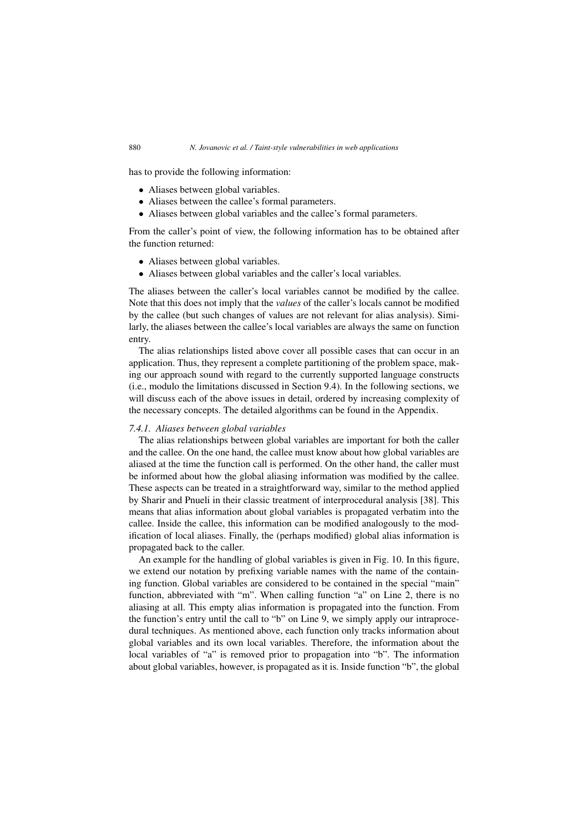has to provide the following information:

- Aliases between global variables.
- Aliases between the callee's formal parameters.
- Aliases between global variables and the callee's formal parameters.

From the caller's point of view, the following information has to be obtained after the function returned:

- Aliases between global variables.
- Aliases between global variables and the caller's local variables.

The aliases between the caller's local variables cannot be modified by the callee. Note that this does not imply that the *values* of the caller's locals cannot be modified by the callee (but such changes of values are not relevant for alias analysis). Similarly, the aliases between the callee's local variables are always the same on function entry.

The alias relationships listed above cover all possible cases that can occur in an application. Thus, they represent a complete partitioning of the problem space, making our approach sound with regard to the currently supported language constructs (i.e., modulo the limitations discussed in Section 9.4). In the following sections, we will discuss each of the above issues in detail, ordered by increasing complexity of the necessary concepts. The detailed algorithms can be found in the Appendix.

#### *7.4.1. Aliases between global variables*

The alias relationships between global variables are important for both the caller and the callee. On the one hand, the callee must know about how global variables are aliased at the time the function call is performed. On the other hand, the caller must be informed about how the global aliasing information was modified by the callee. These aspects can be treated in a straightforward way, similar to the method applied by Sharir and Pnueli in their classic treatment of interprocedural analysis [38]. This means that alias information about global variables is propagated verbatim into the callee. Inside the callee, this information can be modified analogously to the modification of local aliases. Finally, the (perhaps modified) global alias information is propagated back to the caller.

An example for the handling of global variables is given in Fig. 10. In this figure, we extend our notation by prefixing variable names with the name of the containing function. Global variables are considered to be contained in the special "main" function, abbreviated with "m". When calling function "a" on Line 2, there is no aliasing at all. This empty alias information is propagated into the function. From the function's entry until the call to "b" on Line 9, we simply apply our intraprocedural techniques. As mentioned above, each function only tracks information about global variables and its own local variables. Therefore, the information about the local variables of "a" is removed prior to propagation into "b". The information about global variables, however, is propagated as it is. Inside function "b", the global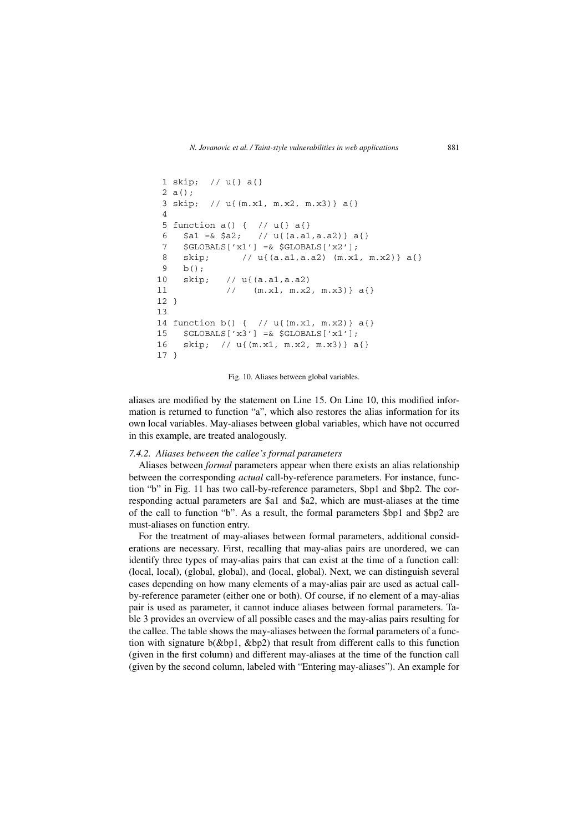```
1 skip; // u{} a{}
 2 a();
 3 skip; // u{(m.x1, m.x2, m.x3)} a{}
 4
 5 function a() { // u{} a{}
 6 \sin^{-1} = \sin^{-1} \sin^{-1} \sin^{-1} \sin^{-1} \sin^{-1} \sin^{-1} \sin^{-1} \sin^{-1} \sin^{-1} \sin^{-1} \sin^{-1} \sin^{-1} \sin^{-1} \sin^{-1} \sin^{-1} \sin^{-1} \sin^{-1} \sin^{-1} \sin^{-1} \sin^{-1} \sin^{-1} \sin^{-1} \sin^{-1} \sin^{-1} \sin^{-1} \sin^{-1} 7 $GLOBALS['x1'] =& $GLOBALS['x2'];
 8 skip; // u{(a.a1,a.a2) (m.x1, m.x2)} a{}
\begin{matrix} 9 & b(); \\ 10 & skin \end{matrix}skip; // u{(a.a1,a.a2)
11 // (m.x1, m.x2, m.x3)} a{}
12 }
13
14 function b() { // u{(m.x1, m.x2)} a{}
15 SGLOBALS['x3'] = & SGLOBALS['x1'];
16 skip; // u{(m.x1, m.x2, m.x3)} a{}
17 }
```
Fig. 10. Aliases between global variables.

aliases are modified by the statement on Line 15. On Line 10, this modified information is returned to function "a", which also restores the alias information for its own local variables. May-aliases between global variables, which have not occurred in this example, are treated analogously.

#### *7.4.2. Aliases between the callee's formal parameters*

Aliases between *formal* parameters appear when there exists an alias relationship between the corresponding *actual* call-by-reference parameters. For instance, function "b" in Fig. 11 has two call-by-reference parameters, \$bp1 and \$bp2. The corresponding actual parameters are \$a1 and \$a2, which are must-aliases at the time of the call to function "b". As a result, the formal parameters \$bp1 and \$bp2 are must-aliases on function entry.

For the treatment of may-aliases between formal parameters, additional considerations are necessary. First, recalling that may-alias pairs are unordered, we can identify three types of may-alias pairs that can exist at the time of a function call: (local, local), (global, global), and (local, global). Next, we can distinguish several cases depending on how many elements of a may-alias pair are used as actual callby-reference parameter (either one or both). Of course, if no element of a may-alias pair is used as parameter, it cannot induce aliases between formal parameters. Table 3 provides an overview of all possible cases and the may-alias pairs resulting for the callee. The table shows the may-aliases between the formal parameters of a function with signature b(&bp1, &bp2) that result from different calls to this function (given in the first column) and different may-aliases at the time of the function call (given by the second column, labeled with "Entering may-aliases"). An example for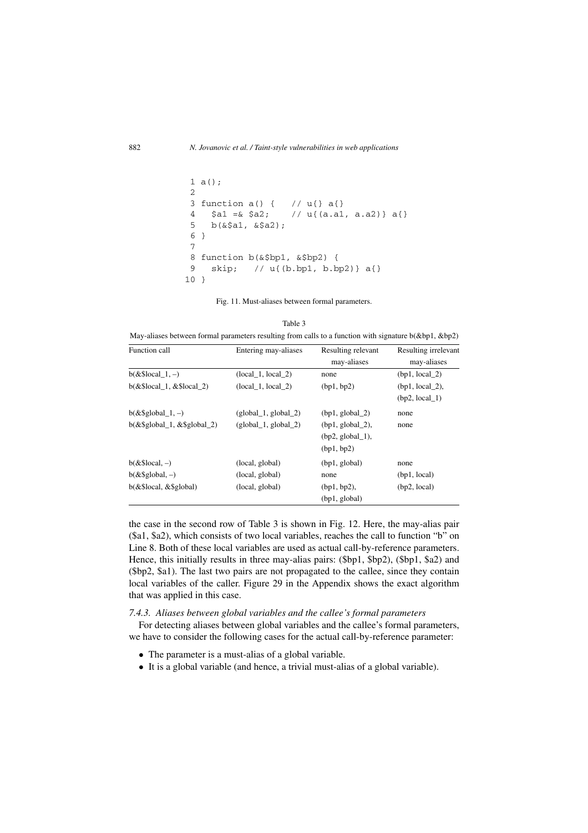```
1 a();
 2
 3 function a() \{ // u\} a\}4 $a1 =& $a2; // u{(a.a1, a.a2)} a{}
 5 \text{ b}(\&\text{sat}, \&\text{sat});
 6 }
 7
 8 function b(&$bp1, &$bp2) {
 9 skip; // u{(b.bp1, b.bp2)} a{}
10 }
```
Fig. 11. Must-aliases between formal parameters.

| Table 3                                                                                                   |
|-----------------------------------------------------------------------------------------------------------|
| May-aliases between formal parameters resulting from calls to a function with signature $b(\&bp1, \&bp2)$ |

| Function call                  | Entering may-aliases   | Resulting relevant  | Resulting irrelevant |
|--------------------------------|------------------------|---------------------|----------------------|
|                                |                        | may-aliases         | may-aliases          |
| $b(& $3$ local $1, -)$         | $(local_1, local_2)$   | none                | $(bp1, local_2)$     |
| $b(&$3local_1, &$3local_2)$    | ~(local 1, local 2)    | (bp1, bp2)          | $(bp1, local_2),$    |
|                                |                        |                     | $(bp2, local_1)$     |
| $b(&$ Sglobal $\_1,$ -)        | $(global_1, global_2)$ | $(bp1, global_2)$   | none                 |
| $b(&$ \$global_1, &\$global_2) | (global 1, global 2)   | $(bp1, global 2)$ , | none                 |
|                                |                        | $(bp2, global_1),$  |                      |
|                                |                        | (bp1, bp2)          |                      |
| $b(&Slocal, -)$                | (local, global)        | (bp1, global)       | none                 |
| $b(&$ \$global, $-$ )          | (local, global)        | none                | (bp1, local)         |
| b(&\$3local, &\$global)        | (local, global)        | (bp1, bp2),         | (bp2, local)         |
|                                |                        | (bp1, global)       |                      |

the case in the second row of Table 3 is shown in Fig. 12. Here, the may-alias pair (\$a1, \$a2), which consists of two local variables, reaches the call to function "b" on Line 8. Both of these local variables are used as actual call-by-reference parameters. Hence, this initially results in three may-alias pairs: (\$bp1, \$bp2), (\$bp1, \$a2) and (\$bp2, \$a1). The last two pairs are not propagated to the callee, since they contain local variables of the caller. Figure 29 in the Appendix shows the exact algorithm that was applied in this case.

# *7.4.3. Aliases between global variables and the callee's formal parameters*

For detecting aliases between global variables and the callee's formal parameters, we have to consider the following cases for the actual call-by-reference parameter:

- The parameter is a must-alias of a global variable.
- It is a global variable (and hence, a trivial must-alias of a global variable).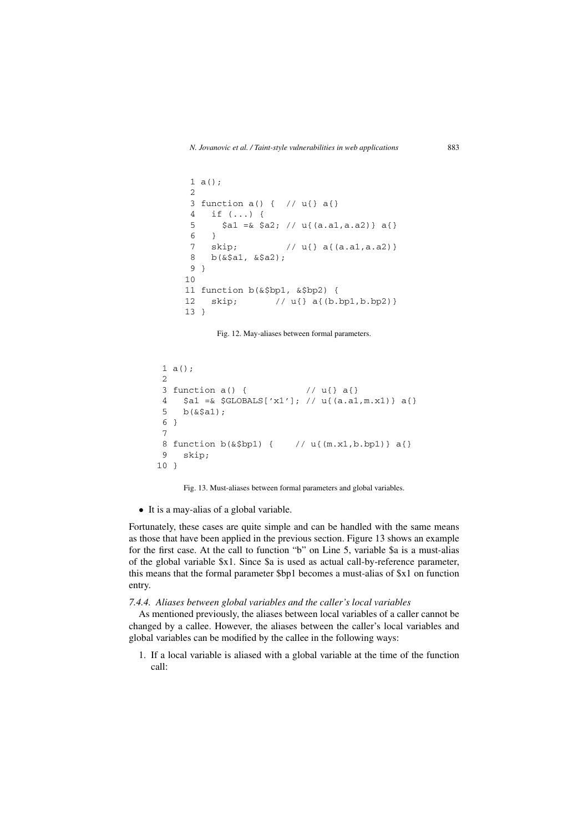```
1 a();
2
3 function a() { // u{} a{}
 4 if (...) {
 5 \{5a1 = \& Sa2; // u\{(a.a1, a.a2)\}\}6 }
7 skip; // u{} a{(a.a1,a.a2)}
 8 b(&$a1, &$a2);
9 }
10
11 function b(&$bp1, &$bp2) {
12 skip; // u{} a{(b.bp1,b.bp2)}
13 }
```
Fig. 12. May-aliases between formal parameters.

```
1 a();
2
3 function a() { // u{} a{}
4 $a1 =& $GLOBALS['x1']; // u{(a.a1,m.x1)} a{}
5 b(&$a1);
6 }
7
8 function b(&$bp1) { // u{(m.x1,b.bp1)} a{}
9 skip;
10 }
```
Fig. 13. Must-aliases between formal parameters and global variables.

• It is a may-alias of a global variable.

Fortunately, these cases are quite simple and can be handled with the same means as those that have been applied in the previous section. Figure 13 shows an example for the first case. At the call to function "b" on Line 5, variable \$a is a must-alias of the global variable \$x1. Since \$a is used as actual call-by-reference parameter, this means that the formal parameter \$bp1 becomes a must-alias of \$x1 on function entry.

# *7.4.4. Aliases between global variables and the caller's local variables*

As mentioned previously, the aliases between local variables of a caller cannot be changed by a callee. However, the aliases between the caller's local variables and global variables can be modified by the callee in the following ways:

1. If a local variable is aliased with a global variable at the time of the function call: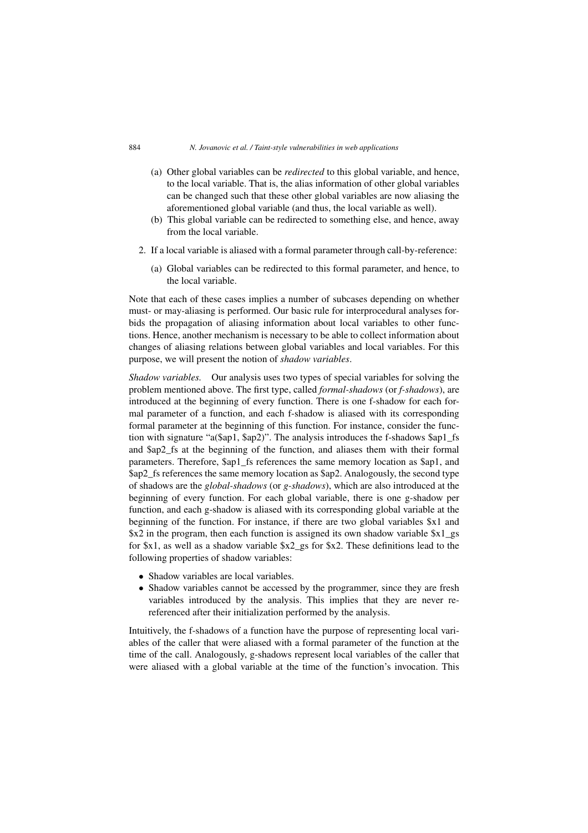### 884 *N. Jovanovic et al. / Taint-style vulnerabilities in web applications*

- (a) Other global variables can be *redirected* to this global variable, and hence, to the local variable. That is, the alias information of other global variables can be changed such that these other global variables are now aliasing the aforementioned global variable (and thus, the local variable as well).
- (b) This global variable can be redirected to something else, and hence, away from the local variable.
- 2. If a local variable is aliased with a formal parameter through call-by-reference:
	- (a) Global variables can be redirected to this formal parameter, and hence, to the local variable.

Note that each of these cases implies a number of subcases depending on whether must- or may-aliasing is performed. Our basic rule for interprocedural analyses forbids the propagation of aliasing information about local variables to other functions. Hence, another mechanism is necessary to be able to collect information about changes of aliasing relations between global variables and local variables. For this purpose, we will present the notion of *shadow variables*.

*Shadow variables.* Our analysis uses two types of special variables for solving the problem mentioned above. The first type, called *formal-shadows* (or *f-shadows*), are introduced at the beginning of every function. There is one f-shadow for each formal parameter of a function, and each f-shadow is aliased with its corresponding formal parameter at the beginning of this function. For instance, consider the function with signature "a(\$ap1, \$ap2)". The analysis introduces the f-shadows \$ap1\_fs and \$ap2\_fs at the beginning of the function, and aliases them with their formal parameters. Therefore, \$ap1\_fs references the same memory location as \$ap1, and \$ap2\_fs references the same memory location as \$ap2. Analogously, the second type of shadows are the *global-shadows* (or *g-shadows*), which are also introduced at the beginning of every function. For each global variable, there is one g-shadow per function, and each g-shadow is aliased with its corresponding global variable at the beginning of the function. For instance, if there are two global variables \$x1 and \$x2 in the program, then each function is assigned its own shadow variable \$x1\_gs for \$x1, as well as a shadow variable \$x2\_gs for \$x2. These definitions lead to the following properties of shadow variables:

- Shadow variables are local variables.
- Shadow variables cannot be accessed by the programmer, since they are fresh variables introduced by the analysis. This implies that they are never rereferenced after their initialization performed by the analysis.

Intuitively, the f-shadows of a function have the purpose of representing local variables of the caller that were aliased with a formal parameter of the function at the time of the call. Analogously, g-shadows represent local variables of the caller that were aliased with a global variable at the time of the function's invocation. This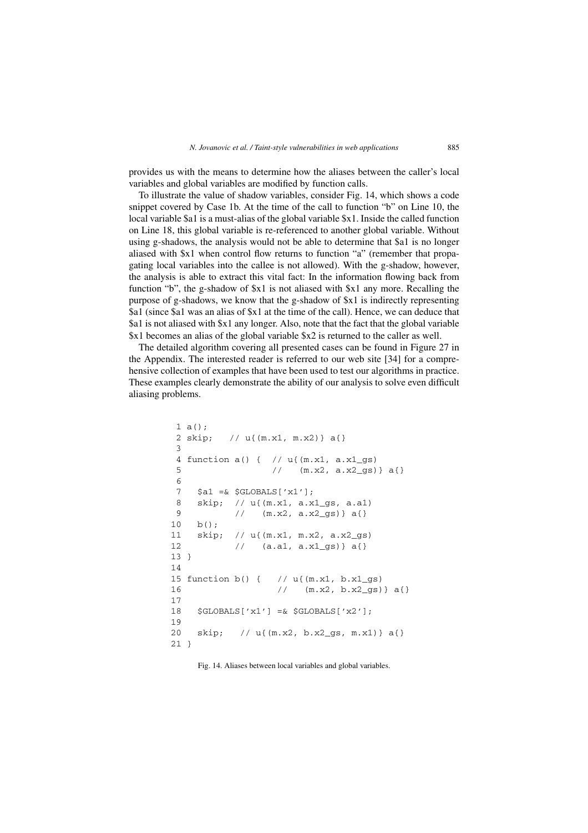provides us with the means to determine how the aliases between the caller's local variables and global variables are modified by function calls.

To illustrate the value of shadow variables, consider Fig. 14, which shows a code snippet covered by Case 1b. At the time of the call to function "b" on Line 10, the local variable \$a1 is a must-alias of the global variable \$x1. Inside the called function on Line 18, this global variable is re-referenced to another global variable. Without using g-shadows, the analysis would not be able to determine that \$a1 is no longer aliased with \$x1 when control flow returns to function "a" (remember that propagating local variables into the callee is not allowed). With the g-shadow, however, the analysis is able to extract this vital fact: In the information flowing back from function "b", the g-shadow of \$x1 is not aliased with \$x1 any more. Recalling the purpose of g-shadows, we know that the g-shadow of \$x1 is indirectly representing \$a1 (since \$a1 was an alias of \$x1 at the time of the call). Hence, we can deduce that \$a1 is not aliased with \$x1 any longer. Also, note that the fact that the global variable \$x1 becomes an alias of the global variable \$x2 is returned to the caller as well.

The detailed algorithm covering all presented cases can be found in Figure 27 in the Appendix. The interested reader is referred to our web site [34] for a comprehensive collection of examples that have been used to test our algorithms in practice. These examples clearly demonstrate the ability of our analysis to solve even difficult aliasing problems.

```
1 a();
2 skip; // u{(m.x1, m.x2)} a{}
3
4 function a() { // u{(m.x1, a.x1_gs)
5 // (m.x2, a.x2_gs)} a{}
6
7 $a1 =& $GLOBALS['x1'];
8 skip; // u{(m.x1, a.x1_gs, a.a1)
9 // (m.x2, a.x2_gs)} a{}
10 b();
11 skip; // u{(m.x1, m.x2, a.x2_gs)
12 // (a.a1, a.x1_gs)} a{}
13 }
14
15 function b() { // u{(m.x1, b.x1_gs)
16 \frac{1}{\sqrt{m} \cdot x^2, b \cdot x^2 \cdot g s} a{}
17
18 $GLOBALS['x1'] =& $GLOBALS['x2'];
19
20 skip; // u{(m.x2, b.x2_gs, m.x1)} a{}
21 }
```
Fig. 14. Aliases between local variables and global variables.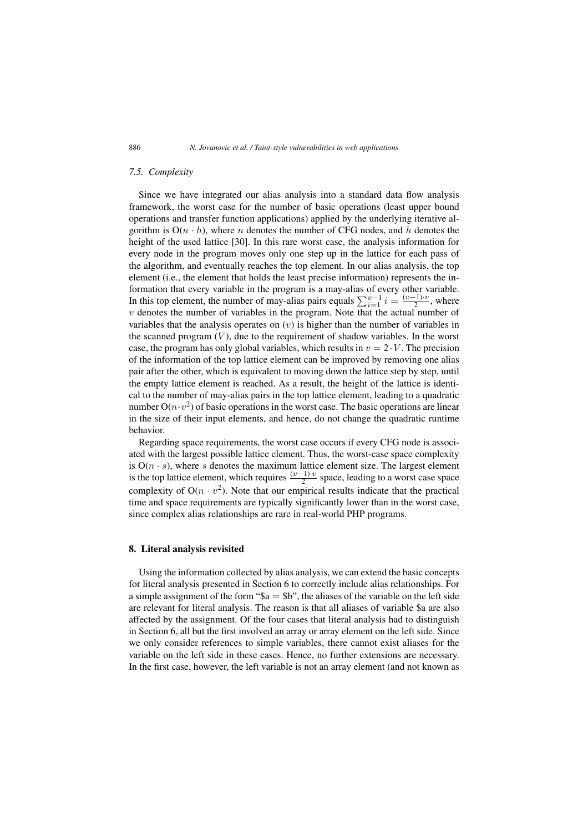# *7.5. Complexity*

Since we have integrated our alias analysis into a standard data flow analysis framework, the worst case for the number of basic operations (least upper bound operations and transfer function applications) applied by the underlying iterative algorithm is  $O(n \cdot h)$ , where *n* denotes the number of CFG nodes, and *h* denotes the height of the used lattice [30]. In this rare worst case, the analysis information for every node in the program moves only one step up in the lattice for each pass of the algorithm, and eventually reaches the top element. In our alias analysis, the top element (i.e., the element that holds the least precise information) represents the information that every variable in the program is a may-alias of every other variable. In this top element, the number of may-alias pairs equals  $\sum_{i=1}^{v-1} i = \frac{(v-1)\cdot v}{2}$ , where  $v$  denotes the number of variables in the program. Note that the actual number of variables that the analysis operates on  $(v)$  is higher than the number of variables in the scanned program  $(V)$ , due to the requirement of shadow variables. In the worst case, the program has only global variables, which results in  $v = 2 \cdot V$ . The precision of the information of the top lattice element can be improved by removing one alias pair after the other, which is equivalent to moving down the lattice step by step, until the empty lattice element is reached. As a result, the height of the lattice is identical to the number of may-alias pairs in the top lattice element, leading to a quadratic number  $O(n \cdot v^2)$  of basic operations in the worst case. The basic operations are linear in the size of their input elements, and hence, do not change the quadratic runtime behavior.

Regarding space requirements, the worst case occurs if every CFG node is associated with the largest possible lattice element. Thus, the worst-case space complexity is  $O(n \cdot s)$ , where s denotes the maximum lattice element size. The largest element is the top lattice element, which requires  $\frac{(v-1)\cdot v}{2}$  space, leading to a worst case space complexity of  $O(n \cdot v^2)$ . Note that our empirical results indicate that the practical time and space requirements are typically significantly lower than in the worst case, since complex alias relationships are rare in real-world PHP programs.

#### **8. Literal analysis revisited**

Using the information collected by alias analysis, we can extend the basic concepts for literal analysis presented in Section 6 to correctly include alias relationships. For a simple assignment of the form " $a = $b$ ", the aliases of the variable on the left side are relevant for literal analysis. The reason is that all aliases of variable \$a are also affected by the assignment. Of the four cases that literal analysis had to distinguish in Section 6, all but the first involved an array or array element on the left side. Since we only consider references to simple variables, there cannot exist aliases for the variable on the left side in these cases. Hence, no further extensions are necessary. In the first case, however, the left variable is not an array element (and not known as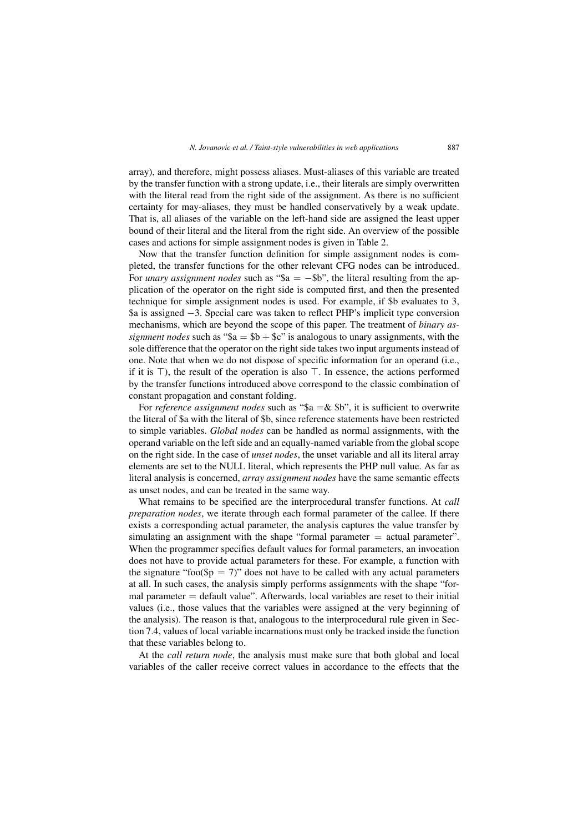array), and therefore, might possess aliases. Must-aliases of this variable are treated by the transfer function with a strong update, i.e., their literals are simply overwritten with the literal read from the right side of the assignment. As there is no sufficient certainty for may-aliases, they must be handled conservatively by a weak update. That is, all aliases of the variable on the left-hand side are assigned the least upper bound of their literal and the literal from the right side. An overview of the possible cases and actions for simple assignment nodes is given in Table 2.

Now that the transfer function definition for simple assignment nodes is completed, the transfer functions for the other relevant CFG nodes can be introduced. For *unary assignment nodes* such as " $a = -b$ ", the literal resulting from the application of the operator on the right side is computed first, and then the presented technique for simple assignment nodes is used. For example, if \$b evaluates to 3, \$a is assigned −3. Special care was taken to reflect PHP's implicit type conversion mechanisms, which are beyond the scope of this paper. The treatment of *binary assignment nodes* such as " $a = b + \frac{1}{2}c$ " is analogous to unary assignments, with the sole difference that the operator on the right side takes two input arguments instead of one. Note that when we do not dispose of specific information for an operand (i.e., if it is  $\top$ ), the result of the operation is also  $\top$ . In essence, the actions performed by the transfer functions introduced above correspond to the classic combination of constant propagation and constant folding.

For *reference assignment nodes* such as "\$a =& \$b", it is sufficient to overwrite the literal of \$a with the literal of \$b, since reference statements have been restricted to simple variables. *Global nodes* can be handled as normal assignments, with the operand variable on the left side and an equally-named variable from the global scope on the right side. In the case of *unset nodes*, the unset variable and all its literal array elements are set to the NULL literal, which represents the PHP null value. As far as literal analysis is concerned, *array assignment nodes* have the same semantic effects as unset nodes, and can be treated in the same way.

What remains to be specified are the interprocedural transfer functions. At *call preparation nodes*, we iterate through each formal parameter of the callee. If there exists a corresponding actual parameter, the analysis captures the value transfer by simulating an assignment with the shape "formal parameter  $=$  actual parameter". When the programmer specifies default values for formal parameters, an invocation does not have to provide actual parameters for these. For example, a function with the signature "foo( $\delta p = 7$ )" does not have to be called with any actual parameters at all. In such cases, the analysis simply performs assignments with the shape "for $m$  mal parameter  $=$  default value". Afterwards, local variables are reset to their initial values (i.e., those values that the variables were assigned at the very beginning of the analysis). The reason is that, analogous to the interprocedural rule given in Section 7.4, values of local variable incarnations must only be tracked inside the function that these variables belong to.

At the *call return node*, the analysis must make sure that both global and local variables of the caller receive correct values in accordance to the effects that the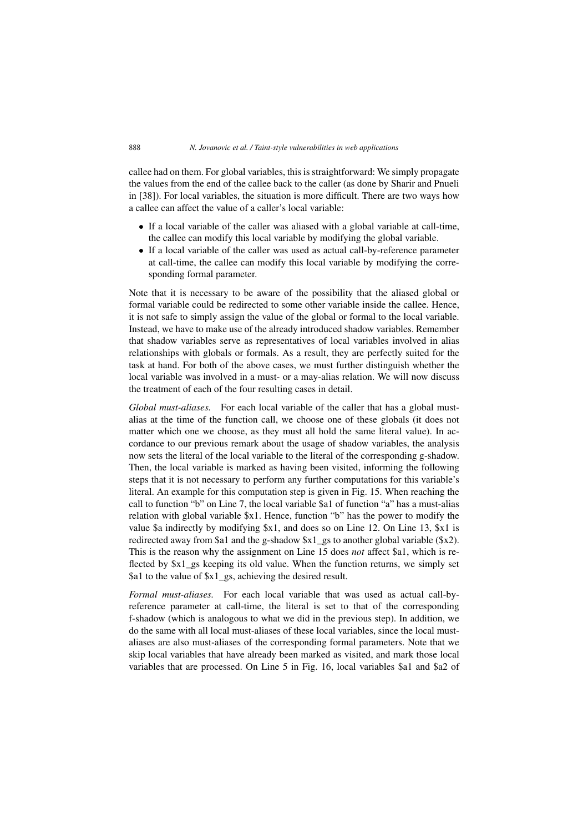callee had on them. For global variables, this is straightforward: We simply propagate the values from the end of the callee back to the caller (as done by Sharir and Pnueli in [38]). For local variables, the situation is more difficult. There are two ways how a callee can affect the value of a caller's local variable:

- If a local variable of the caller was aliased with a global variable at call-time, the callee can modify this local variable by modifying the global variable.
- If a local variable of the caller was used as actual call-by-reference parameter at call-time, the callee can modify this local variable by modifying the corresponding formal parameter.

Note that it is necessary to be aware of the possibility that the aliased global or formal variable could be redirected to some other variable inside the callee. Hence, it is not safe to simply assign the value of the global or formal to the local variable. Instead, we have to make use of the already introduced shadow variables. Remember that shadow variables serve as representatives of local variables involved in alias relationships with globals or formals. As a result, they are perfectly suited for the task at hand. For both of the above cases, we must further distinguish whether the local variable was involved in a must- or a may-alias relation. We will now discuss the treatment of each of the four resulting cases in detail.

*Global must-aliases.* For each local variable of the caller that has a global mustalias at the time of the function call, we choose one of these globals (it does not matter which one we choose, as they must all hold the same literal value). In accordance to our previous remark about the usage of shadow variables, the analysis now sets the literal of the local variable to the literal of the corresponding g-shadow. Then, the local variable is marked as having been visited, informing the following steps that it is not necessary to perform any further computations for this variable's literal. An example for this computation step is given in Fig. 15. When reaching the call to function "b" on Line 7, the local variable \$a1 of function "a" has a must-alias relation with global variable \$x1. Hence, function "b" has the power to modify the value \$a indirectly by modifying \$x1, and does so on Line 12. On Line 13, \$x1 is redirected away from \$a1 and the g-shadow \$x1\_gs to another global variable (\$x2). This is the reason why the assignment on Line 15 does *not* affect \$a1, which is reflected by \$x1\_gs keeping its old value. When the function returns, we simply set \$a1 to the value of \$x1\_gs, achieving the desired result.

*Formal must-aliases.* For each local variable that was used as actual call-byreference parameter at call-time, the literal is set to that of the corresponding f-shadow (which is analogous to what we did in the previous step). In addition, we do the same with all local must-aliases of these local variables, since the local mustaliases are also must-aliases of the corresponding formal parameters. Note that we skip local variables that have already been marked as visited, and mark those local variables that are processed. On Line 5 in Fig. 16, local variables \$a1 and \$a2 of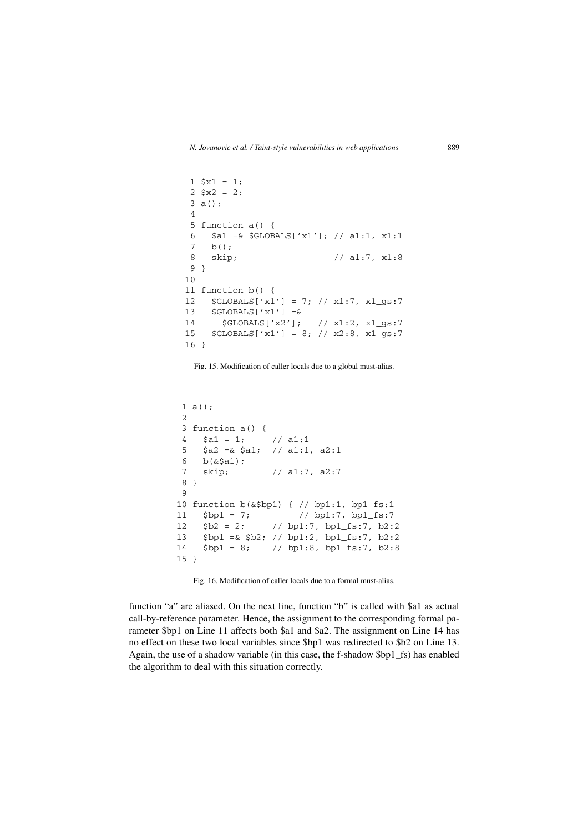```
1 \text{ } $x1 = 1;2 \, \sqrt{5 \times 2} = 2;
3 a();
4
 5 function a() {
 6 $a1 =& $GLOBALS['x1']; // a1:1, x1:1
7 b();
 8 skip; // a1:7, x1:8
 9 }
10
11 function b() {
12 $GLOBALS['x1'] = 7; // x1:7, x1_gs:713 $GLOBALS['x1'] =&
14 $GLOBALS['x2']; // x1:2, x1_gs:7
15 $GLOBALS['x1'] = 8; // x2:8, x1_gs:7
16 }
```
Fig. 15. Modification of caller locals due to a global must-alias.

```
1 a();
 2
 3 function a() {
 4 $a1 = 1; // a1:15 $a2 =& $a1; // a1:1, a2:1
 6 b( & \nless 4);
 7 skip; // a1:7, a2:7
 8 }
 9
10 function b(&$bp1) { // bp1:1, bp1_fs:1
11 $bp1 = 7; // bp1:7, bp1_fs:7
12 $b2 = 2; // bp1:7, bp1_fs:7, b2:2
13 $bp1 =& $b2; // bp1:2, bp1_fs:7, b2:2
14 $bp1 = 8; // bp1:8, bp1_fs:7, b2:8
15 }
```
Fig. 16. Modification of caller locals due to a formal must-alias.

function "a" are aliased. On the next line, function "b" is called with \$a1 as actual call-by-reference parameter. Hence, the assignment to the corresponding formal parameter \$bp1 on Line 11 affects both \$a1 and \$a2. The assignment on Line 14 has no effect on these two local variables since \$bp1 was redirected to \$b2 on Line 13. Again, the use of a shadow variable (in this case, the f-shadow \$bp1\_fs) has enabled the algorithm to deal with this situation correctly.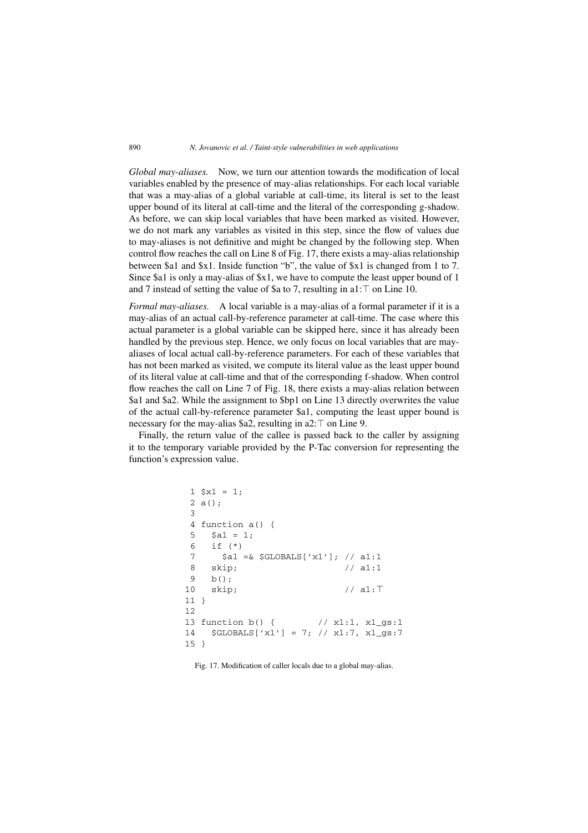*Global may-aliases.* Now, we turn our attention towards the modification of local variables enabled by the presence of may-alias relationships. For each local variable that was a may-alias of a global variable at call-time, its literal is set to the least upper bound of its literal at call-time and the literal of the corresponding g-shadow. As before, we can skip local variables that have been marked as visited. However, we do not mark any variables as visited in this step, since the flow of values due to may-aliases is not definitive and might be changed by the following step. When control flow reaches the call on Line 8 of Fig. 17, there exists a may-alias relationship between \$a1 and \$x1. Inside function "b", the value of \$x1 is changed from 1 to 7. Since  $\$a1$  is only a may-alias of  $\$x1$ , we have to compute the least upper bound of 1 and 7 instead of setting the value of \$a to 7, resulting in a1:  $\top$  on Line 10.

*Formal may-aliases.* A local variable is a may-alias of a formal parameter if it is a may-alias of an actual call-by-reference parameter at call-time. The case where this actual parameter is a global variable can be skipped here, since it has already been handled by the previous step. Hence, we only focus on local variables that are mayaliases of local actual call-by-reference parameters. For each of these variables that has not been marked as visited, we compute its literal value as the least upper bound of its literal value at call-time and that of the corresponding f-shadow. When control flow reaches the call on Line 7 of Fig. 18, there exists a may-alias relation between \$a1 and \$a2. While the assignment to \$bp1 on Line 13 directly overwrites the value of the actual call-by-reference parameter \$a1, computing the least upper bound is necessary for the may-alias \$a2, resulting in a2: $\top$  on Line 9.

Finally, the return value of the callee is passed back to the caller by assigning it to the temporary variable provided by the P-Tac conversion for representing the function's expression value.

```
1 \, \frac{1}{2} \, \frac{1}{2} \, = 1;
2 a();
3
4 function a() {
5 $a1 = 1;6 if (*)
7 $a1 =& $GLOBALS['x1']; // a1:1
8 skip; // a1:1
9 b();
10 skip: // a1:T
11 }
12
13 function b() { // x1:1, x1_gs:1
14 $GLOBALS['x1'] = 7; // x1:7, x1_gs:7
15 }
```
Fig. 17. Modification of caller locals due to a global may-alias.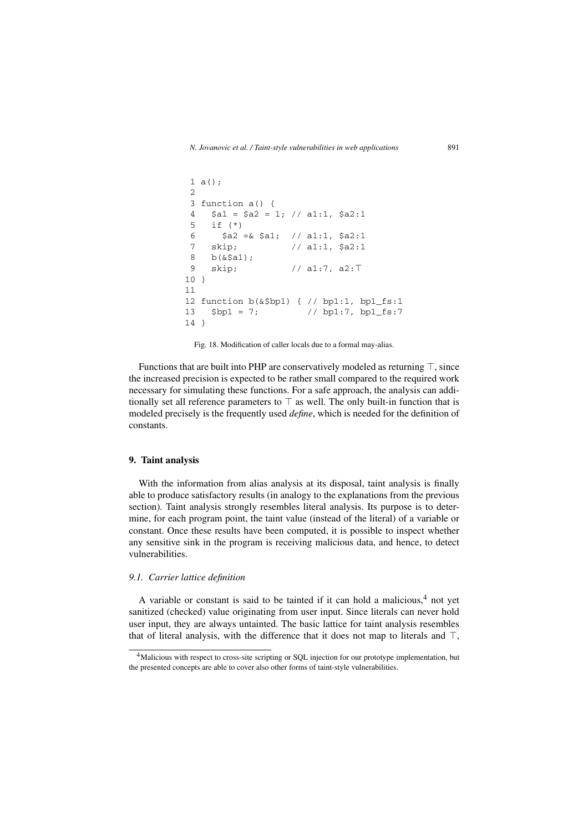```
1 a();
 \overline{2}3 function a() {
  4 $a1 = $a2 = 1; // a1:1, $a2:15 if (*)
  6 \frac{1}{2} \frac{1}{2} \frac{1}{2} \frac{1}{2} \frac{1}{2} \frac{1}{2} \frac{1}{2} \frac{1}{2} \frac{1}{2} \frac{1}{2} \frac{1}{2} \frac{1}{2} \frac{1}{2} \frac{1}{2} \frac{1}{2} \frac{1}{2} \frac{1}{2} \frac{1}{2} \frac{1}{2} \frac{1}{2} \frac{1}{2} \frac{1}{2}7 skip; // a1:1, $a2:1
  8 b(&$a1);
  9 skip; \frac{1}{2} // a1:7, a2: T
10 }
11
12 function b(&$bp1) { // bp1:1, bp1_fs:1
13 $bp1 = 7; // bp1:7, bp1_fs:7
14 }
```
Fig. 18. Modification of caller locals due to a formal may-alias.

Functions that are built into PHP are conservatively modeled as returning  $\top$ , since the increased precision is expected to be rather small compared to the required work necessary for simulating these functions. For a safe approach, the analysis can additionally set all reference parameters to  $\top$  as well. The only built-in function that is modeled precisely is the frequently used *define*, which is needed for the definition of constants.

## **9. Taint analysis**

With the information from alias analysis at its disposal, taint analysis is finally able to produce satisfactory results (in analogy to the explanations from the previous section). Taint analysis strongly resembles literal analysis. Its purpose is to determine, for each program point, the taint value (instead of the literal) of a variable or constant. Once these results have been computed, it is possible to inspect whether any sensitive sink in the program is receiving malicious data, and hence, to detect vulnerabilities.

# *9.1. Carrier lattice definition*

A variable or constant is said to be tainted if it can hold a malicious, $4$  not yet sanitized (checked) value originating from user input. Since literals can never hold user input, they are always untainted. The basic lattice for taint analysis resembles that of literal analysis, with the difference that it does not map to literals and  $\top$ ,

<sup>4</sup>Malicious with respect to cross-site scripting or SQL injection for our prototype implementation, but the presented concepts are able to cover also other forms of taint-style vulnerabilities.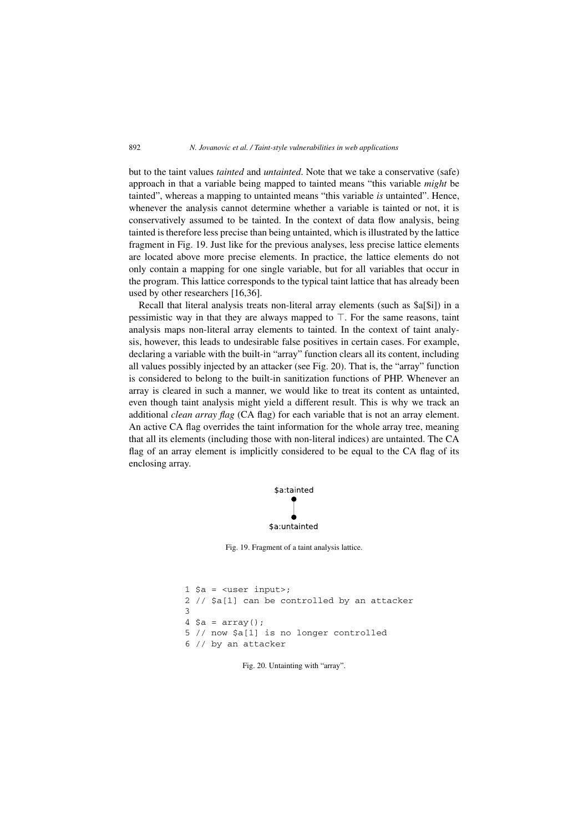but to the taint values *tainted* and *untainted*. Note that we take a conservative (safe) approach in that a variable being mapped to tainted means "this variable *might* be tainted", whereas a mapping to untainted means "this variable *is* untainted". Hence, whenever the analysis cannot determine whether a variable is tainted or not, it is conservatively assumed to be tainted. In the context of data flow analysis, being tainted is therefore less precise than being untainted, which is illustrated by the lattice fragment in Fig. 19. Just like for the previous analyses, less precise lattice elements are located above more precise elements. In practice, the lattice elements do not only contain a mapping for one single variable, but for all variables that occur in the program. This lattice corresponds to the typical taint lattice that has already been used by other researchers [16,36].

Recall that literal analysis treats non-literal array elements (such as \$a[\$i]) in a pessimistic way in that they are always mapped to  $\top$ . For the same reasons, taint analysis maps non-literal array elements to tainted. In the context of taint analysis, however, this leads to undesirable false positives in certain cases. For example, declaring a variable with the built-in "array" function clears all its content, including all values possibly injected by an attacker (see Fig. 20). That is, the "array" function is considered to belong to the built-in sanitization functions of PHP. Whenever an array is cleared in such a manner, we would like to treat its content as untainted, even though taint analysis might yield a different result. This is why we track an additional *clean array flag* (CA flag) for each variable that is not an array element. An active CA flag overrides the taint information for the whole array tree, meaning that all its elements (including those with non-literal indices) are untainted. The CA flag of an array element is implicitly considered to be equal to the CA flag of its enclosing array.



Fig. 19. Fragment of a taint analysis lattice.

```
1 \text{Sa} = \text{user input};
2 // $a[1] can be controlled by an attacker
3
4 \text{sa} = \text{array}();
5 // now $a[1] is no longer controlled
6 // by an attacker
```
Fig. 20. Untainting with "array".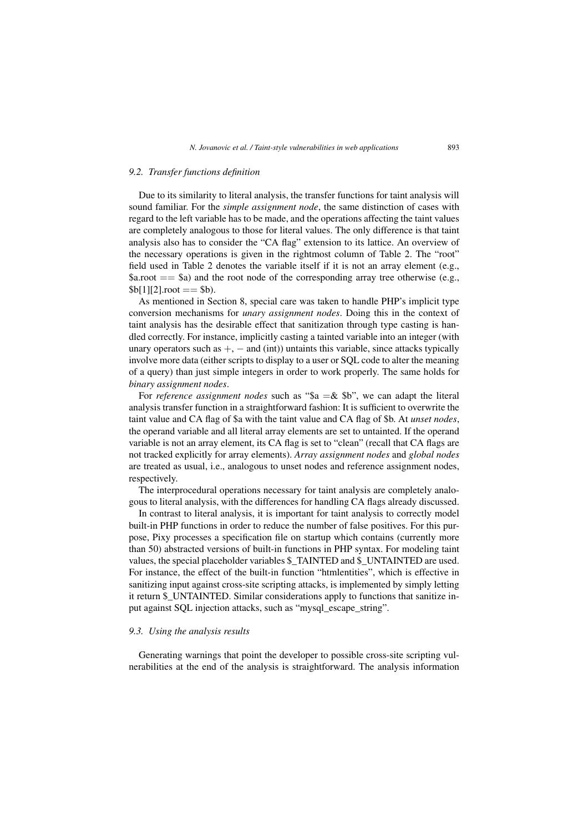#### *9.2. Transfer functions definition*

Due to its similarity to literal analysis, the transfer functions for taint analysis will sound familiar. For the *simple assignment node*, the same distinction of cases with regard to the left variable has to be made, and the operations affecting the taint values are completely analogous to those for literal values. The only difference is that taint analysis also has to consider the "CA flag" extension to its lattice. An overview of the necessary operations is given in the rightmost column of Table 2. The "root" field used in Table 2 denotes the variable itself if it is not an array element (e.g.,  $\text{Sa} \cdot \text{root} == \text{Sa}$ ) and the root node of the corresponding array tree otherwise (e.g.,  $$b[1][2].root == $b).$ 

As mentioned in Section 8, special care was taken to handle PHP's implicit type conversion mechanisms for *unary assignment nodes*. Doing this in the context of taint analysis has the desirable effect that sanitization through type casting is handled correctly. For instance, implicitly casting a tainted variable into an integer (with unary operators such as  $+$ ,  $-$  and (int)) untaints this variable, since attacks typically involve more data (either scripts to display to a user or SQL code to alter the meaning of a query) than just simple integers in order to work properly. The same holds for *binary assignment nodes*.

For *reference assignment nodes* such as "\$a =& \$b", we can adapt the literal analysis transfer function in a straightforward fashion: It is sufficient to overwrite the taint value and CA flag of \$a with the taint value and CA flag of \$b. At *unset nodes*, the operand variable and all literal array elements are set to untainted. If the operand variable is not an array element, its CA flag is set to "clean" (recall that CA flags are not tracked explicitly for array elements). *Array assignment nodes* and *global nodes* are treated as usual, i.e., analogous to unset nodes and reference assignment nodes, respectively.

The interprocedural operations necessary for taint analysis are completely analogous to literal analysis, with the differences for handling CA flags already discussed.

In contrast to literal analysis, it is important for taint analysis to correctly model built-in PHP functions in order to reduce the number of false positives. For this purpose, Pixy processes a specification file on startup which contains (currently more than 50) abstracted versions of built-in functions in PHP syntax. For modeling taint values, the special placeholder variables \$\_TAINTED and \$\_UNTAINTED are used. For instance, the effect of the built-in function "htmlentities", which is effective in sanitizing input against cross-site scripting attacks, is implemented by simply letting it return \$\_UNTAINTED. Similar considerations apply to functions that sanitize input against SQL injection attacks, such as "mysql\_escape\_string".

# *9.3. Using the analysis results*

Generating warnings that point the developer to possible cross-site scripting vulnerabilities at the end of the analysis is straightforward. The analysis information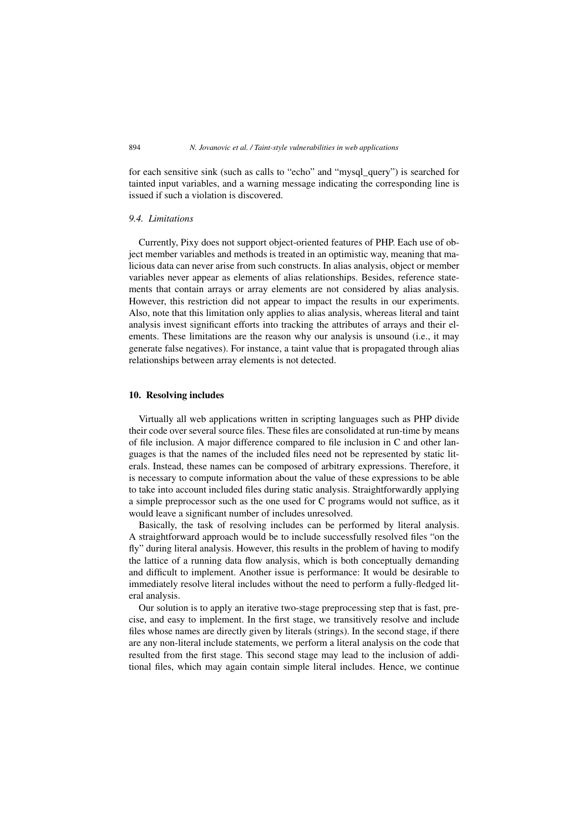for each sensitive sink (such as calls to "echo" and "mysql\_query") is searched for tainted input variables, and a warning message indicating the corresponding line is issued if such a violation is discovered.

#### *9.4. Limitations*

Currently, Pixy does not support object-oriented features of PHP. Each use of object member variables and methods is treated in an optimistic way, meaning that malicious data can never arise from such constructs. In alias analysis, object or member variables never appear as elements of alias relationships. Besides, reference statements that contain arrays or array elements are not considered by alias analysis. However, this restriction did not appear to impact the results in our experiments. Also, note that this limitation only applies to alias analysis, whereas literal and taint analysis invest significant efforts into tracking the attributes of arrays and their elements. These limitations are the reason why our analysis is unsound (i.e., it may generate false negatives). For instance, a taint value that is propagated through alias relationships between array elements is not detected.

#### **10. Resolving includes**

Virtually all web applications written in scripting languages such as PHP divide their code over several source files. These files are consolidated at run-time by means of file inclusion. A major difference compared to file inclusion in C and other languages is that the names of the included files need not be represented by static literals. Instead, these names can be composed of arbitrary expressions. Therefore, it is necessary to compute information about the value of these expressions to be able to take into account included files during static analysis. Straightforwardly applying a simple preprocessor such as the one used for C programs would not suffice, as it would leave a significant number of includes unresolved.

Basically, the task of resolving includes can be performed by literal analysis. A straightforward approach would be to include successfully resolved files "on the fly" during literal analysis. However, this results in the problem of having to modify the lattice of a running data flow analysis, which is both conceptually demanding and difficult to implement. Another issue is performance: It would be desirable to immediately resolve literal includes without the need to perform a fully-fledged literal analysis.

Our solution is to apply an iterative two-stage preprocessing step that is fast, precise, and easy to implement. In the first stage, we transitively resolve and include files whose names are directly given by literals (strings). In the second stage, if there are any non-literal include statements, we perform a literal analysis on the code that resulted from the first stage. This second stage may lead to the inclusion of additional files, which may again contain simple literal includes. Hence, we continue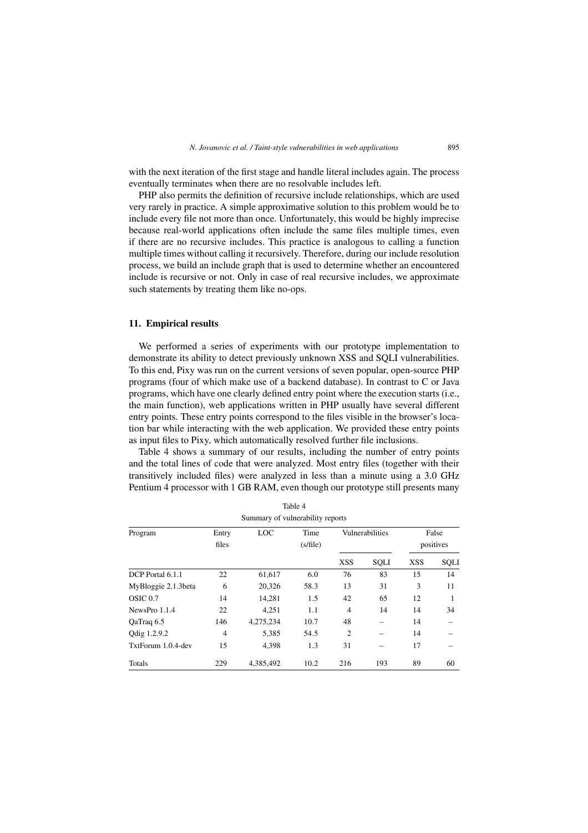with the next iteration of the first stage and handle literal includes again. The process eventually terminates when there are no resolvable includes left.

PHP also permits the definition of recursive include relationships, which are used very rarely in practice. A simple approximative solution to this problem would be to include every file not more than once. Unfortunately, this would be highly imprecise because real-world applications often include the same files multiple times, even if there are no recursive includes. This practice is analogous to calling a function multiple times without calling it recursively. Therefore, during our include resolution process, we build an include graph that is used to determine whether an encountered include is recursive or not. Only in case of real recursive includes, we approximate such statements by treating them like no-ops.

#### **11. Empirical results**

We performed a series of experiments with our prototype implementation to demonstrate its ability to detect previously unknown XSS and SQLI vulnerabilities. To this end, Pixy was run on the current versions of seven popular, open-source PHP programs (four of which make use of a backend database). In contrast to C or Java programs, which have one clearly defined entry point where the execution starts (i.e., the main function), web applications written in PHP usually have several different entry points. These entry points correspond to the files visible in the browser's location bar while interacting with the web application. We provided these entry points as input files to Pixy, which automatically resolved further file inclusions.

Table 4 shows a summary of our results, including the number of entry points and the total lines of code that were analyzed. Most entry files (together with their transitively included files) were analyzed in less than a minute using a 3.0 GHz Pentium 4 processor with 1 GB RAM, even though our prototype still presents many

| Program             | Entry          | <b>LOC</b> | Time              |                | Vulnerabilities |            | False       |  |
|---------------------|----------------|------------|-------------------|----------------|-----------------|------------|-------------|--|
|                     | files          |            | $(s/\text{file})$ |                |                 |            | positives   |  |
|                     |                |            |                   | <b>XSS</b>     | SQLI            | <b>XSS</b> | <b>SQLI</b> |  |
| DCP Portal 6.1.1    | 22             | 61,617     | 6.0               | 76             | 83              | 15         | 14          |  |
| MyBloggie 2.1.3beta | 6              | 20,326     | 58.3              | 13             | 31              | 3          | 11          |  |
| OSIC <sub>0.7</sub> | 14             | 14,281     | 1.5               | 42             | 65              | 12         | 1           |  |
| NewsPro 1.1.4       | 22             | 4,251      | 1.1               | $\overline{4}$ | 14              | 14         | 34          |  |
| OaTraq 6.5          | 146            | 4,275,234  | 10.7              | 48             |                 | 14         |             |  |
| Odig 1.2.9.2        | $\overline{4}$ | 5,385      | 54.5              | 2              |                 | 14         |             |  |
| TxtForum 1.0.4-dev  | 15             | 4,398      | 1.3               | 31             |                 | 17         |             |  |
| Totals              | 229            | 4,385,492  | 10.2              | 216            | 193             | 89         | 60          |  |

| Table 4                  |  |
|--------------------------|--|
| ory of vulnorability ron |  |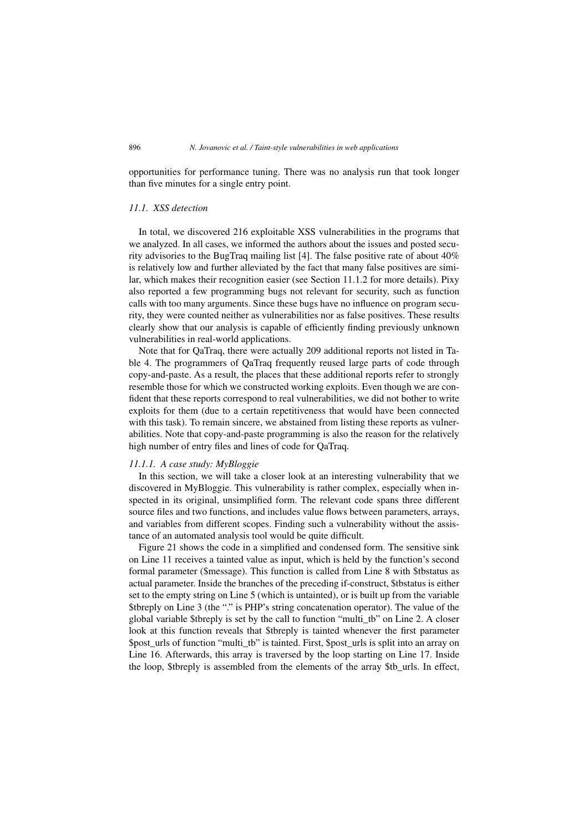opportunities for performance tuning. There was no analysis run that took longer than five minutes for a single entry point.

## *11.1. XSS detection*

In total, we discovered 216 exploitable XSS vulnerabilities in the programs that we analyzed. In all cases, we informed the authors about the issues and posted security advisories to the BugTraq mailing list [4]. The false positive rate of about 40% is relatively low and further alleviated by the fact that many false positives are similar, which makes their recognition easier (see Section 11.1.2 for more details). Pixy also reported a few programming bugs not relevant for security, such as function calls with too many arguments. Since these bugs have no influence on program security, they were counted neither as vulnerabilities nor as false positives. These results clearly show that our analysis is capable of efficiently finding previously unknown vulnerabilities in real-world applications.

Note that for QaTraq, there were actually 209 additional reports not listed in Table 4. The programmers of QaTraq frequently reused large parts of code through copy-and-paste. As a result, the places that these additional reports refer to strongly resemble those for which we constructed working exploits. Even though we are confident that these reports correspond to real vulnerabilities, we did not bother to write exploits for them (due to a certain repetitiveness that would have been connected with this task). To remain sincere, we abstained from listing these reports as vulnerabilities. Note that copy-and-paste programming is also the reason for the relatively high number of entry files and lines of code for QaTraq.

## *11.1.1. A case study: MyBloggie*

In this section, we will take a closer look at an interesting vulnerability that we discovered in MyBloggie. This vulnerability is rather complex, especially when inspected in its original, unsimplified form. The relevant code spans three different source files and two functions, and includes value flows between parameters, arrays, and variables from different scopes. Finding such a vulnerability without the assistance of an automated analysis tool would be quite difficult.

Figure 21 shows the code in a simplified and condensed form. The sensitive sink on Line 11 receives a tainted value as input, which is held by the function's second formal parameter (\$message). This function is called from Line 8 with \$tbstatus as actual parameter. Inside the branches of the preceding if-construct, \$tbstatus is either set to the empty string on Line 5 (which is untainted), or is built up from the variable \$tbreply on Line 3 (the "." is PHP's string concatenation operator). The value of the global variable \$tbreply is set by the call to function "multi\_tb" on Line 2. A closer look at this function reveals that \$tbreply is tainted whenever the first parameter \$post\_urls of function "multi\_tb" is tainted. First, \$post\_urls is split into an array on Line 16. Afterwards, this array is traversed by the loop starting on Line 17. Inside the loop, \$tbreply is assembled from the elements of the array \$tb\_urls. In effect,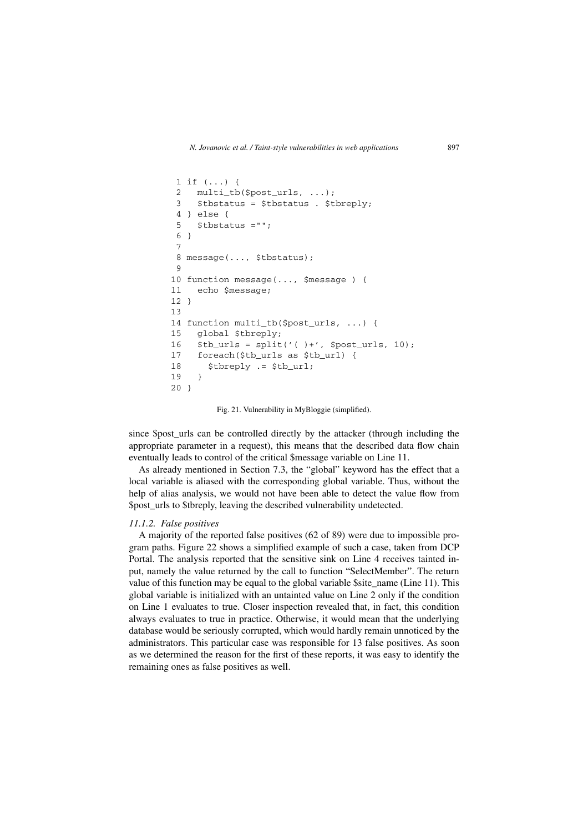```
1 if (...) {
2 multi_tb($post_urls, ...);
3 $tbstatus = $tbstatus . $tbreply;
4 } else {
5 $tbstatus ="";
6 }
7
8 message(..., $tbstatus);
9
10 function message(..., $message ) {
11 echo $message;
12 }
13
14 function multi_tb($post_urls, ...) {
15 global $tbreply;
16 $tb urls = split('() +', ') $post urls, 10);
17 foreach($tb_urls as $tb_url) {
18 $tbreply .= $tb_url;
19 }
20 }
```
Fig. 21. Vulnerability in MyBloggie (simplified).

since \$post\_urls can be controlled directly by the attacker (through including the appropriate parameter in a request), this means that the described data flow chain eventually leads to control of the critical \$message variable on Line 11.

As already mentioned in Section 7.3, the "global" keyword has the effect that a local variable is aliased with the corresponding global variable. Thus, without the help of alias analysis, we would not have been able to detect the value flow from \$post\_urls to \$tbreply, leaving the described vulnerability undetected.

## *11.1.2. False positives*

A majority of the reported false positives (62 of 89) were due to impossible program paths. Figure 22 shows a simplified example of such a case, taken from DCP Portal. The analysis reported that the sensitive sink on Line 4 receives tainted input, namely the value returned by the call to function "SelectMember". The return value of this function may be equal to the global variable \$site\_name (Line 11). This global variable is initialized with an untainted value on Line 2 only if the condition on Line 1 evaluates to true. Closer inspection revealed that, in fact, this condition always evaluates to true in practice. Otherwise, it would mean that the underlying database would be seriously corrupted, which would hardly remain unnoticed by the administrators. This particular case was responsible for 13 false positives. As soon as we determined the reason for the first of these reports, it was easy to identify the remaining ones as false positives as well.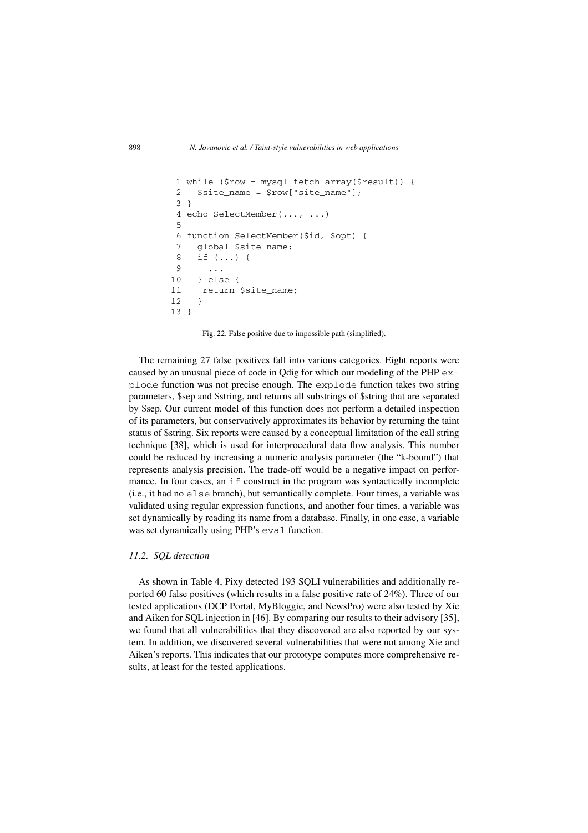#### 898 *N. Jovanovic et al. / Taint-style vulnerabilities in web applications*

```
1 while ($row = mysql_fetch_array($result)) {
2 $site_name = $row["site_name"];
3 }
4 echo SelectMember(..., ...)
5
6 function SelectMember($id, $opt) {
7 global $site_name;
8 if (...) {
9 ...
10 } else {
11 return $site_name;
12 }
13 }
```
Fig. 22. False positive due to impossible path (simplified).

The remaining 27 false positives fall into various categories. Eight reports were caused by an unusual piece of code in Qdig for which our modeling of the PHP explode function was not precise enough. The explode function takes two string parameters, \$sep and \$string, and returns all substrings of \$string that are separated by \$sep. Our current model of this function does not perform a detailed inspection of its parameters, but conservatively approximates its behavior by returning the taint status of \$string. Six reports were caused by a conceptual limitation of the call string technique [38], which is used for interprocedural data flow analysis. This number could be reduced by increasing a numeric analysis parameter (the "k-bound") that represents analysis precision. The trade-off would be a negative impact on performance. In four cases, an if construct in the program was syntactically incomplete (i.e., it had no else branch), but semantically complete. Four times, a variable was validated using regular expression functions, and another four times, a variable was set dynamically by reading its name from a database. Finally, in one case, a variable was set dynamically using PHP's eval function.

# *11.2. SQL detection*

As shown in Table 4, Pixy detected 193 SQLI vulnerabilities and additionally reported 60 false positives (which results in a false positive rate of 24%). Three of our tested applications (DCP Portal, MyBloggie, and NewsPro) were also tested by Xie and Aiken for SQL injection in [46]. By comparing our results to their advisory [35], we found that all vulnerabilities that they discovered are also reported by our system. In addition, we discovered several vulnerabilities that were not among Xie and Aiken's reports. This indicates that our prototype computes more comprehensive results, at least for the tested applications.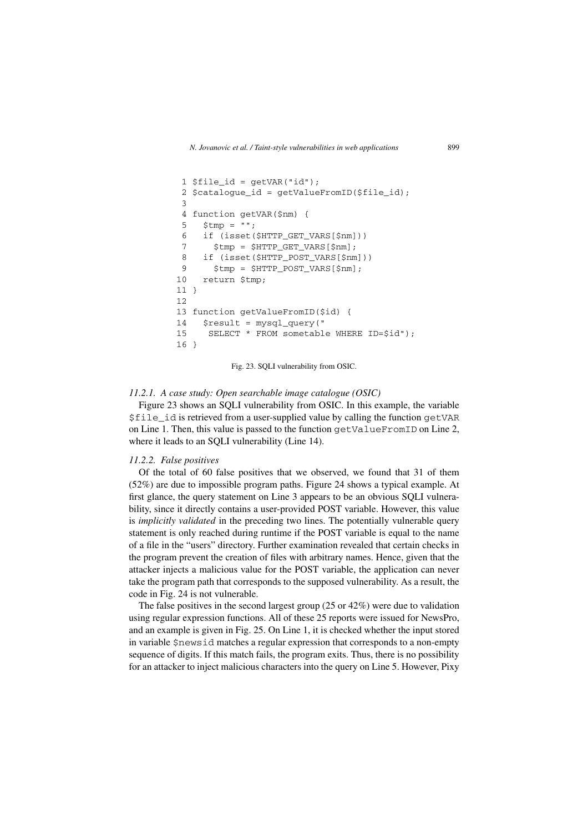```
1 $file_id = getVAR('id');2 $catalogue id = getValueFromID(Sfile_id);3
 4 function getVAR($nm) {
 5 $tmp = "";
 6 if (isset($HTTP_GET_VARS[$nm]))
7 $tmp = $HTTP_GET_VARS[$nm];
8 if (isset($HTTP_POST_VARS[$nm]))
9 $tmp = $HTTP_POST_VARS[$nm];
10 return $tmp;
11 }
12
13 function getValueFromID($id) {
14 $result = mysql_query("
15 SELECT * FROM sometable WHERE ID=$id");
16 }
```
Fig. 23. SQLI vulnerability from OSIC.

#### *11.2.1. A case study: Open searchable image catalogue (OSIC)*

Figure 23 shows an SQLI vulnerability from OSIC. In this example, the variable \$file\_id is retrieved from a user-supplied value by calling the function getVAR on Line 1. Then, this value is passed to the function getValueFromID on Line 2, where it leads to an SQLI vulnerability (Line 14).

#### *11.2.2. False positives*

Of the total of 60 false positives that we observed, we found that 31 of them (52%) are due to impossible program paths. Figure 24 shows a typical example. At first glance, the query statement on Line 3 appears to be an obvious SQLI vulnerability, since it directly contains a user-provided POST variable. However, this value is *implicitly validated* in the preceding two lines. The potentially vulnerable query statement is only reached during runtime if the POST variable is equal to the name of a file in the "users" directory. Further examination revealed that certain checks in the program prevent the creation of files with arbitrary names. Hence, given that the attacker injects a malicious value for the POST variable, the application can never take the program path that corresponds to the supposed vulnerability. As a result, the code in Fig. 24 is not vulnerable.

The false positives in the second largest group (25 or 42%) were due to validation using regular expression functions. All of these 25 reports were issued for NewsPro, and an example is given in Fig. 25. On Line 1, it is checked whether the input stored in variable \$newsid matches a regular expression that corresponds to a non-empty sequence of digits. If this match fails, the program exits. Thus, there is no possibility for an attacker to inject malicious characters into the query on Line 5. However, Pixy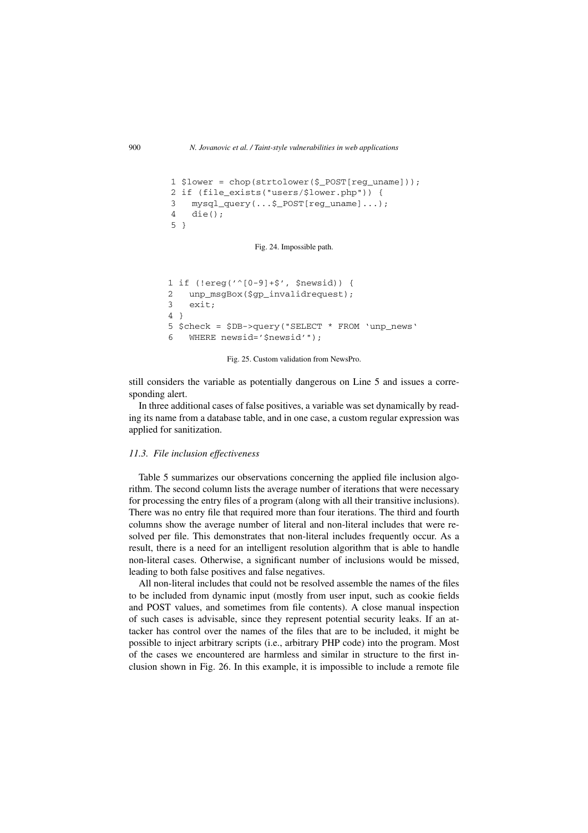```
1 $lower = chop(strtolower($_POST[reg_uname]));
2 if (file_exists("users/$lower.php")) {
3 mysql_query(...$_POST[reg_uname]...);
4 die();
5 }
                Fig. 24. Impossible path.
```

```
1 if (!ereg('^[0-9]+$', $newsid)) {
2 unp_msgBox($gp_invalidrequest);
3 exit;
4 }
5 $check = $DB->query("SELECT * FROM 'unp_news'
6 WHERE newsid='$newsid'");
```
Fig. 25. Custom validation from NewsPro.

still considers the variable as potentially dangerous on Line 5 and issues a corresponding alert.

In three additional cases of false positives, a variable was set dynamically by reading its name from a database table, and in one case, a custom regular expression was applied for sanitization.

#### *11.3. File inclusion effectiveness*

Table 5 summarizes our observations concerning the applied file inclusion algorithm. The second column lists the average number of iterations that were necessary for processing the entry files of a program (along with all their transitive inclusions). There was no entry file that required more than four iterations. The third and fourth columns show the average number of literal and non-literal includes that were resolved per file. This demonstrates that non-literal includes frequently occur. As a result, there is a need for an intelligent resolution algorithm that is able to handle non-literal cases. Otherwise, a significant number of inclusions would be missed, leading to both false positives and false negatives.

All non-literal includes that could not be resolved assemble the names of the files to be included from dynamic input (mostly from user input, such as cookie fields and POST values, and sometimes from file contents). A close manual inspection of such cases is advisable, since they represent potential security leaks. If an attacker has control over the names of the files that are to be included, it might be possible to inject arbitrary scripts (i.e., arbitrary PHP code) into the program. Most of the cases we encountered are harmless and similar in structure to the first inclusion shown in Fig. 26. In this example, it is impossible to include a remote file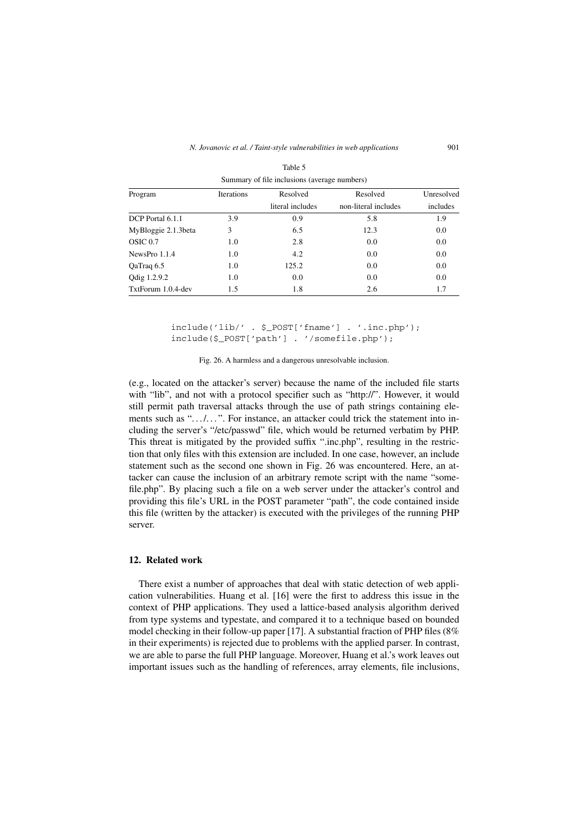| Summary of file inclusions (average numbers) |                   |                  |                      |            |  |
|----------------------------------------------|-------------------|------------------|----------------------|------------|--|
| Program                                      | <b>Iterations</b> | Resolved         | Resolved             | Unresolved |  |
|                                              |                   | literal includes | non-literal includes | includes   |  |
| DCP Portal 6.1.1                             | 3.9               | 0.9              | 5.8                  | 1.9        |  |
| MyBloggie 2.1.3beta                          | 3                 | 6.5              | 12.3                 | 0.0        |  |
| OSIC 0.7                                     | 1.0               | 2.8              | 0.0                  | 0.0        |  |
| NewsPro 1.1.4                                | 1.0               | 4.2              | 0.0                  | 0.0        |  |
| QaTraq 6.5                                   | 1.0               | 125.2            | 0.0                  | 0.0        |  |
| Qdig 1.2.9.2                                 | 1.0               | 0.0              | 0.0                  | 0.0        |  |
| TxtForum 1.0.4-dev                           | 1.5               | 1.8              | 2.6                  | 1.7        |  |

| Table 5                                      |  |
|----------------------------------------------|--|
| Summary of file inclusions (average numbers) |  |

include('lib/' . \$\_POST['fname'] . '.inc.php'); include(\$\_POST['path'] . '/somefile.php');

Fig. 26. A harmless and a dangerous unresolvable inclusion.

(e.g., located on the attacker's server) because the name of the included file starts with "lib", and not with a protocol specifier such as "http://". However, it would still permit path traversal attacks through the use of path strings containing elements such as ".../...". For instance, an attacker could trick the statement into including the server's "/etc/passwd" file, which would be returned verbatim by PHP. This threat is mitigated by the provided suffix ".inc.php", resulting in the restriction that only files with this extension are included. In one case, however, an include statement such as the second one shown in Fig. 26 was encountered. Here, an attacker can cause the inclusion of an arbitrary remote script with the name "somefile.php". By placing such a file on a web server under the attacker's control and providing this file's URL in the POST parameter "path", the code contained inside this file (written by the attacker) is executed with the privileges of the running PHP server.

### **12. Related work**

There exist a number of approaches that deal with static detection of web application vulnerabilities. Huang et al. [16] were the first to address this issue in the context of PHP applications. They used a lattice-based analysis algorithm derived from type systems and typestate, and compared it to a technique based on bounded model checking in their follow-up paper [17]. A substantial fraction of PHP files (8% in their experiments) is rejected due to problems with the applied parser. In contrast, we are able to parse the full PHP language. Moreover, Huang et al.'s work leaves out important issues such as the handling of references, array elements, file inclusions,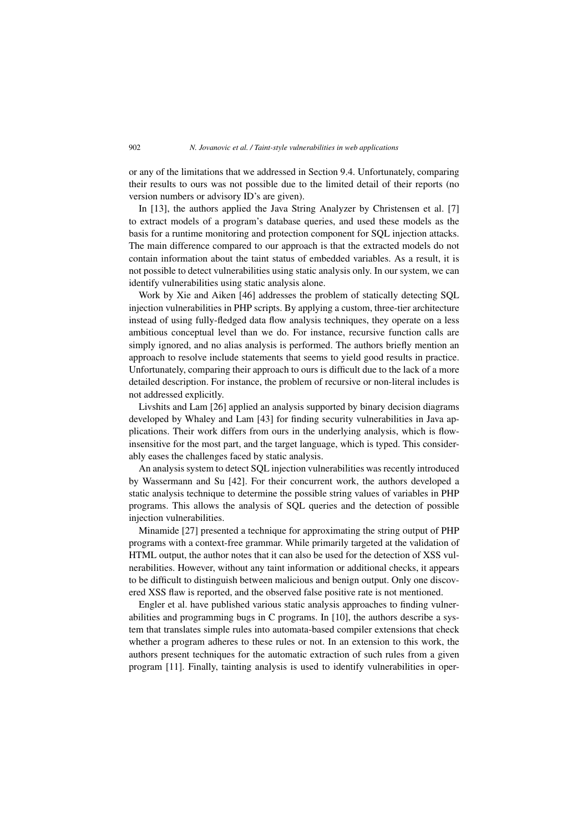or any of the limitations that we addressed in Section 9.4. Unfortunately, comparing their results to ours was not possible due to the limited detail of their reports (no version numbers or advisory ID's are given).

In [13], the authors applied the Java String Analyzer by Christensen et al. [7] to extract models of a program's database queries, and used these models as the basis for a runtime monitoring and protection component for SQL injection attacks. The main difference compared to our approach is that the extracted models do not contain information about the taint status of embedded variables. As a result, it is not possible to detect vulnerabilities using static analysis only. In our system, we can identify vulnerabilities using static analysis alone.

Work by Xie and Aiken [46] addresses the problem of statically detecting SQL injection vulnerabilities in PHP scripts. By applying a custom, three-tier architecture instead of using fully-fledged data flow analysis techniques, they operate on a less ambitious conceptual level than we do. For instance, recursive function calls are simply ignored, and no alias analysis is performed. The authors briefly mention an approach to resolve include statements that seems to yield good results in practice. Unfortunately, comparing their approach to ours is difficult due to the lack of a more detailed description. For instance, the problem of recursive or non-literal includes is not addressed explicitly.

Livshits and Lam [26] applied an analysis supported by binary decision diagrams developed by Whaley and Lam [43] for finding security vulnerabilities in Java applications. Their work differs from ours in the underlying analysis, which is flowinsensitive for the most part, and the target language, which is typed. This considerably eases the challenges faced by static analysis.

An analysis system to detect SQL injection vulnerabilities was recently introduced by Wassermann and Su [42]. For their concurrent work, the authors developed a static analysis technique to determine the possible string values of variables in PHP programs. This allows the analysis of SQL queries and the detection of possible injection vulnerabilities.

Minamide [27] presented a technique for approximating the string output of PHP programs with a context-free grammar. While primarily targeted at the validation of HTML output, the author notes that it can also be used for the detection of XSS vulnerabilities. However, without any taint information or additional checks, it appears to be difficult to distinguish between malicious and benign output. Only one discovered XSS flaw is reported, and the observed false positive rate is not mentioned.

Engler et al. have published various static analysis approaches to finding vulnerabilities and programming bugs in C programs. In [10], the authors describe a system that translates simple rules into automata-based compiler extensions that check whether a program adheres to these rules or not. In an extension to this work, the authors present techniques for the automatic extraction of such rules from a given program [11]. Finally, tainting analysis is used to identify vulnerabilities in oper-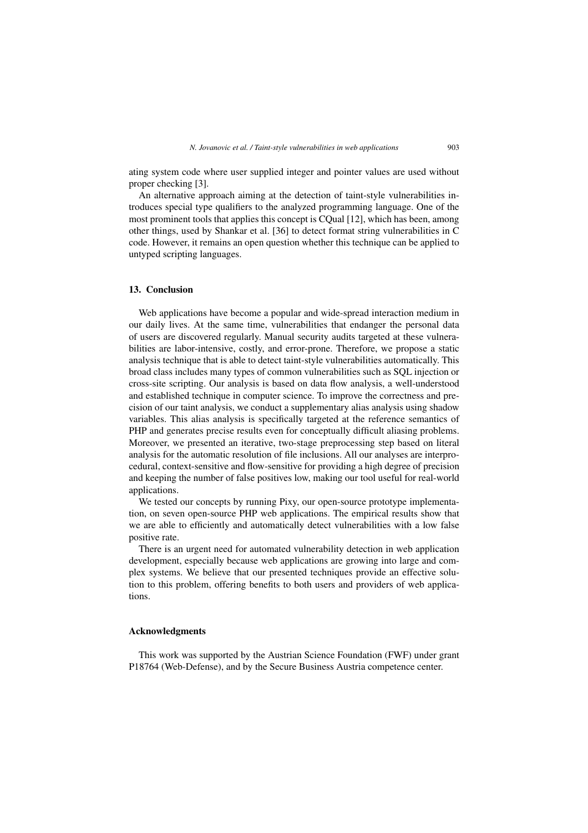ating system code where user supplied integer and pointer values are used without proper checking [3].

An alternative approach aiming at the detection of taint-style vulnerabilities introduces special type qualifiers to the analyzed programming language. One of the most prominent tools that applies this concept is CQual [12], which has been, among other things, used by Shankar et al. [36] to detect format string vulnerabilities in C code. However, it remains an open question whether this technique can be applied to untyped scripting languages.

# **13. Conclusion**

Web applications have become a popular and wide-spread interaction medium in our daily lives. At the same time, vulnerabilities that endanger the personal data of users are discovered regularly. Manual security audits targeted at these vulnerabilities are labor-intensive, costly, and error-prone. Therefore, we propose a static analysis technique that is able to detect taint-style vulnerabilities automatically. This broad class includes many types of common vulnerabilities such as SQL injection or cross-site scripting. Our analysis is based on data flow analysis, a well-understood and established technique in computer science. To improve the correctness and precision of our taint analysis, we conduct a supplementary alias analysis using shadow variables. This alias analysis is specifically targeted at the reference semantics of PHP and generates precise results even for conceptually difficult aliasing problems. Moreover, we presented an iterative, two-stage preprocessing step based on literal analysis for the automatic resolution of file inclusions. All our analyses are interprocedural, context-sensitive and flow-sensitive for providing a high degree of precision and keeping the number of false positives low, making our tool useful for real-world applications.

We tested our concepts by running Pixy, our open-source prototype implementation, on seven open-source PHP web applications. The empirical results show that we are able to efficiently and automatically detect vulnerabilities with a low false positive rate.

There is an urgent need for automated vulnerability detection in web application development, especially because web applications are growing into large and complex systems. We believe that our presented techniques provide an effective solution to this problem, offering benefits to both users and providers of web applications.

#### **Acknowledgments**

This work was supported by the Austrian Science Foundation (FWF) under grant P18764 (Web-Defense), and by the Secure Business Austria competence center.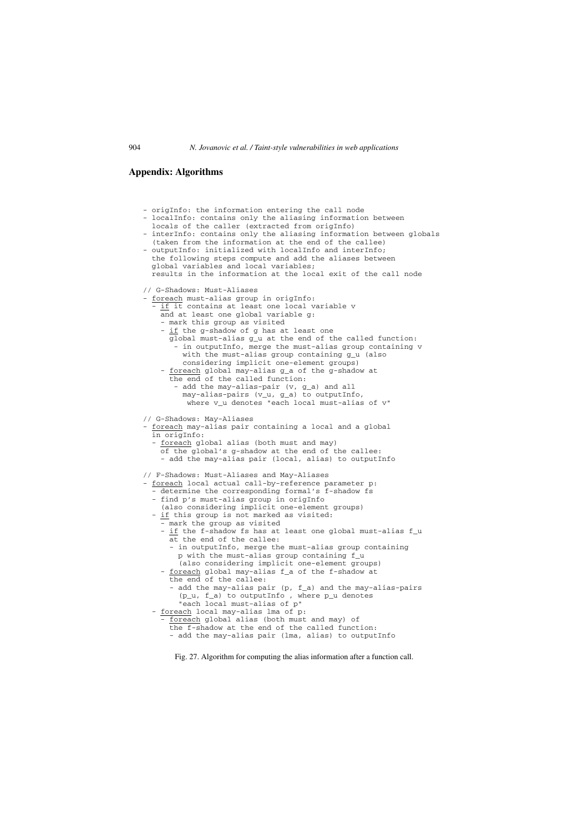#### **Appendix: Algorithms**

```
- origInfo: the information entering the call node
- localInfo: contains only the aliasing information between
 locals of the caller (extracted from origInfo)
- interInfo: contains only the aliasing information between globals
  (taken from the information at the end of the callee)
 outputInfo: initialized with localInfo and interInfo;
 the following steps compute and add the aliases between
 global variables and local variables;
 results in the information at the local exit of the call node
// G-Shadows: Must-Aliases
- foreach must-alias group in origInfo:
   if it contains at least one local variable v
   and at least one global variable g:
    - mark this group as visited
     if the g-shadow of g has at least one
     global must-alias g_u at the end of the called function:
       - in outputInfo, merge the must-alias group containing v
        with the must-alias group containing g_u (also
         considering implicit one-element groups)
    - foreach global may-alias g_a of the g-shadow at
      the end of the called function:
       - add the may-alias-pair (v, g_a) and all
         may-alias-pairs (v_u, g_a) to outputInfo,
         where v_u denotes "each local must-alias of v"
// G-Shadows: May-Aliases
 - foreach may-alias pair containing a local and a global
 in origInfo:
  - foreach global alias (both must and may)
    of the global's g-shadow at the end of the callee:
    - add the may-alias pair (local, alias) to outputInfo
// F-Shadows: Must-Aliases and May-Aliases
- foreach local actual call-by-reference parameter p:
  - determine the corresponding formal's f-shadow fs
   find p's must-alias group in origInfo
    (also considering implicit one-element groups)
  - if this group is not marked as visited:
    - mark the group as visited
    - if the f-shadow fs has at least one global must-alias f_u
     at the end of the callee:
     - in outputInfo, merge the must-alias group containing
       p with the must-alias group containing f_u
        (also considering implicit one-element groups)
    - foreach global may-alias f_a of the f-shadow at
     the end of the callee:
      - add the may-alias pair (p, f_a) and the may-alias-pairs
        (p_u, f_a) to outputInfo , where p_u denotes
        "each local must-alias of p"
  - foreach local may-alias lma of p:
     - foreach global alias (both must and may) of
          f-shadow at the end of the called function:
      - add the may-alias pair (lma, alias) to outputInfo
```
Fig. 27. Algorithm for computing the alias information after a function call.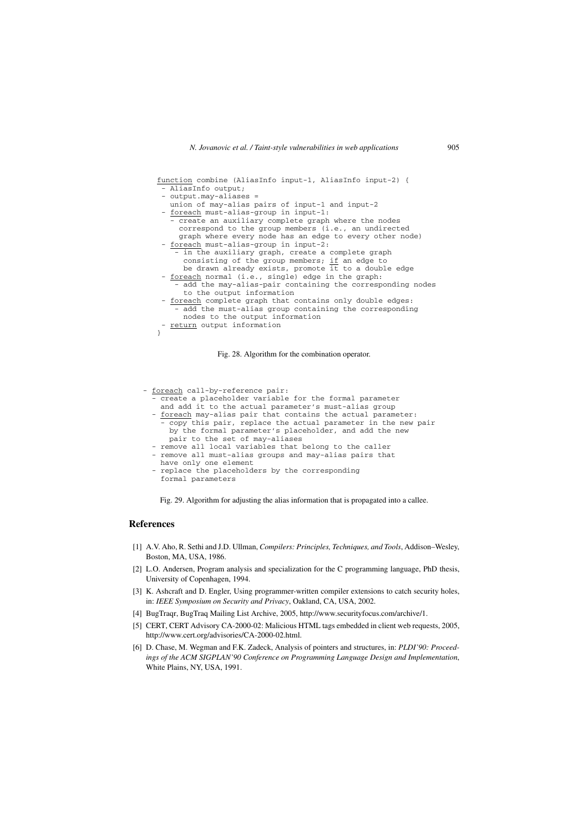#### *N. Jovanovic et al. / Taint-style vulnerabilities in web applications* 905

```
function combine (AliasInfo input-1, AliasInfo input-2) {
 - AliasInfo output;
 - output.may-aliases =
  union of may-alias pairs of input-1 and input-2
 - foreach must-alias-group in input-1:
   - create an auxiliary complete graph where the nodes
     correspond to the group members (i.e., an undirected
     graph where every node has an edge to every other node)
 - <u>foreach</u> must-alias-group in input-2:
    - in the auxiliary graph, create a complete graph
      consisting of the group members; if an edge to
      be drawn already exists, promote it to a double edge
 - foreach normal (i.e., single) edge in the graph:
    - add the may-alias-pair containing the corresponding nodes
      to the output information
 - foreach complete graph that contains only double edges:
    - add the must-alias group containing the corresponding
      nodes to the output information
 - <u>return</u> output information
}
```
#### Fig. 28. Algorithm for the combination operator.

```
- foreach call-by-reference pair:
   create a placeholder variable for the formal parameter
   and add it to the actual parameter's must-alias group
 - <u>foreach</u> may-alias pair that contains the actual parameter:
     copy this pair, replace the actual parameter in the new pair
     by the formal parameter's placeholder, and add the new
     pair to the set of may-aliases
  - remove all local variables that belong to the caller
   remove all must-alias groups and may-alias pairs that
   have only one element
```

```
- replace the placeholders by the corresponding
 formal parameters
```
Fig. 29. Algorithm for adjusting the alias information that is propagated into a callee.

#### **References**

- [1] A.V. Aho, R. Sethi and J.D. Ullman, *Compilers: Principles, Techniques, and Tools*, Addison–Wesley, Boston, MA, USA, 1986.
- [2] L.O. Andersen, Program analysis and specialization for the C programming language, PhD thesis, University of Copenhagen, 1994.
- [3] K. Ashcraft and D. Engler, Using programmer-written compiler extensions to catch security holes, in: *IEEE Symposium on Security and Privacy*, Oakland, CA, USA, 2002.
- [4] BugTraqr, BugTraq Mailing List Archive, 2005, http://www.securityfocus.com/archive/1.
- [5] CERT, CERT Advisory CA-2000-02: Malicious HTML tags embedded in client web requests, 2005, http://www.cert.org/advisories/CA-2000-02.html.
- [6] D. Chase, M. Wegman and F.K. Zadeck, Analysis of pointers and structures, in: *PLDI'90: Proceedings of the ACM SIGPLAN'90 Conference on Programming Language Design and Implementation*, White Plains, NY, USA, 1991.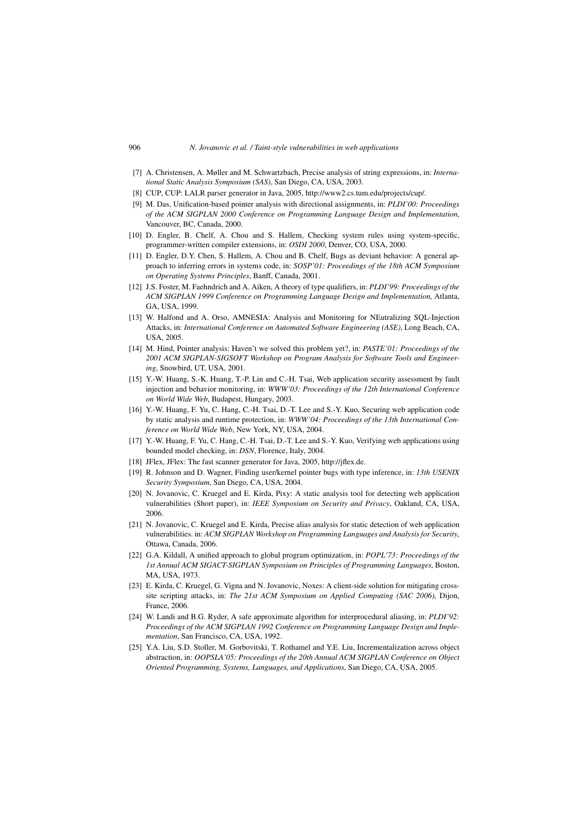- [7] A. Christensen, A. Møller and M. Schwartzbach, Precise analysis of string expressions, in: *International Static Analysis Symposium (SAS)*, San Diego, CA, USA, 2003.
- [8] CUP, CUP: LALR parser generator in Java, 2005, http://www2.cs.tum.edu/projects/cup/.
- [9] M. Das, Unification-based pointer analysis with directional assignments, in: *PLDI'00: Proceedings of the ACM SIGPLAN 2000 Conference on Programming Language Design and Implementation*, Vancouver, BC, Canada, 2000.
- [10] D. Engler, B. Chelf, A. Chou and S. Hallem, Checking system rules using system-specific, programmer-written compiler extensions, in: *OSDI 2000*, Denver, CO, USA, 2000.
- [11] D. Engler, D.Y. Chen, S. Hallem, A. Chou and B. Chelf, Bugs as deviant behavior: A general approach to inferring errors in systems code, in: *SOSP'01: Proceedings of the 18th ACM Symposium on Operating Systems Principles*, Banff, Canada, 2001.
- [12] J.S. Foster, M. Faehndrich and A. Aiken, A theory of type qualifiers, in: *PLDI'99: Proceedings of the ACM SIGPLAN 1999 Conference on Programming Language Design and Implementation*, Atlanta, GA, USA, 1999.
- [13] W. Halfond and A. Orso, AMNESIA: Analysis and Monitoring for NEutralizing SQL-Injection Attacks, in: *International Conference on Automated Software Engineering (ASE)*, Long Beach, CA, USA, 2005.
- [14] M. Hind, Pointer analysis: Haven't we solved this problem yet?, in: *PASTE'01: Proceedings of the 2001 ACM SIGPLAN-SIGSOFT Workshop on Program Analysis for Software Tools and Engineering*, Snowbird, UT, USA, 2001.
- [15] Y.-W. Huang, S.-K. Huang, T.-P. Lin and C.-H. Tsai, Web application security assessment by fault injection and behavior monitoring, in: *WWW'03: Proceedings of the 12th International Conference on World Wide Web*, Budapest, Hungary, 2003.
- [16] Y.-W. Huang, F. Yu, C. Hang, C.-H. Tsai, D.-T. Lee and S.-Y. Kuo, Securing web application code by static analysis and runtime protection, in: *WWW'04: Proceedings of the 13th International Conference on World Wide Web*, New York, NY, USA, 2004.
- [17] Y.-W. Huang, F. Yu, C. Hang, C.-H. Tsai, D.-T. Lee and S.-Y. Kuo, Verifying web applications using bounded model checking, in: *DSN*, Florence, Italy, 2004.
- [18] JFlex, JFlex: The fast scanner generator for Java, 2005, http://jflex.de.
- [19] R. Johnson and D. Wagner, Finding user/kernel pointer bugs with type inference, in: *13th USENIX Security Symposium*, San Diego, CA, USA, 2004.
- [20] N. Jovanovic, C. Kruegel and E. Kirda, Pixy: A static analysis tool for detecting web application vulnerabilities (Short paper), in: *IEEE Symposium on Security and Privacy*, Oakland, CA, USA, 2006.
- [21] N. Jovanovic, C. Kruegel and E. Kirda, Precise alias analysis for static detection of web application vulnerabilities. in: *ACM SIGPLAN Workshop on Programming Languages and Analysis for Security*, Ottawa, Canada, 2006.
- [22] G.A. Kildall, A unified approach to global program optimization, in: *POPL'73: Proceedings of the 1st Annual ACM SIGACT-SIGPLAN Symposium on Principles of Programming Languages*, Boston, MA, USA, 1973.
- [23] E. Kirda, C. Kruegel, G. Vigna and N. Jovanovic, Noxes: A client-side solution for mitigating crosssite scripting attacks, in: *The 21st ACM Symposium on Applied Computing (SAC 2006)*, Dijon, France, 2006.
- [24] W. Landi and B.G. Ryder, A safe approximate algorithm for interprocedural aliasing, in: *PLDI'92: Proceedings of the ACM SIGPLAN 1992 Conference on Programming Language Design and Implementation*, San Francisco, CA, USA, 1992.
- [25] Y.A. Liu, S.D. Stoller, M. Gorbovitski, T. Rothamel and Y.E. Liu, Incrementalization across object abstraction, in: *OOPSLA'05: Proceedings of the 20th Annual ACM SIGPLAN Conference on Object Oriented Programming, Systems, Languages, and Applications*, San Diego, CA, USA, 2005.